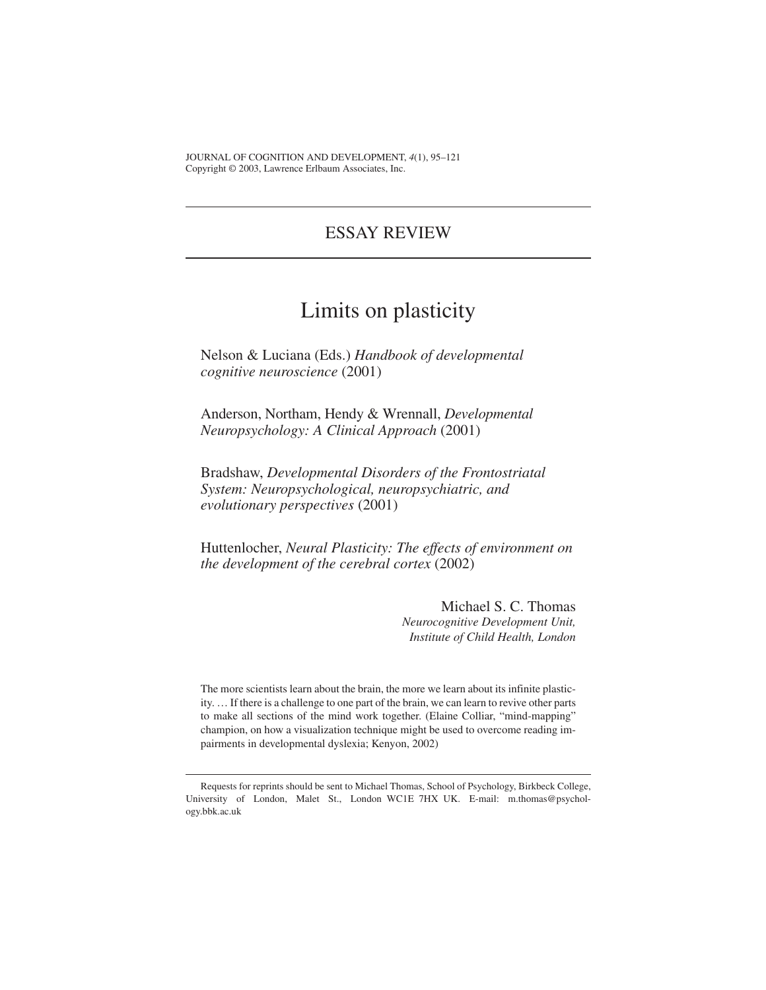JOURNAL OF COGNITION AND DEVELOPMENT, *4*(1), 95–121 Copyright © 2003, Lawrence Erlbaum Associates, Inc.

# ESSAY REVIEW

# Limits on plasticity

Nelson & Luciana (Eds.) *Handbook of developmental cognitive neuroscience* (2001)

Anderson, Northam, Hendy & Wrennall, *Developmental Neuropsychology: A Clinical Approach* (2001)

Bradshaw, *Developmental Disorders of the Frontostriatal System: Neuropsychological, neuropsychiatric, and evolutionary perspectives* (2001)

Huttenlocher, *Neural Plasticity: The effects of environment on the development of the cerebral cortex* (2002)

> Michael S. C. Thomas *Neurocognitive Development Unit, Institute of Child Health, London*

The more scientists learn about the brain, the more we learn about its infinite plasticity. … If there is a challenge to one part of the brain, we can learn to revive other parts to make all sections of the mind work together. (Elaine Colliar, "mind-mapping" champion, on how a visualization technique might be used to overcome reading impairments in developmental dyslexia; Kenyon, 2002)

Requests for reprints should be sent to Michael Thomas, School of Psychology, Birkbeck College, University of London, Malet St., London WC1E 7HX UK. E-mail: m.thomas@psychology.bbk.ac.uk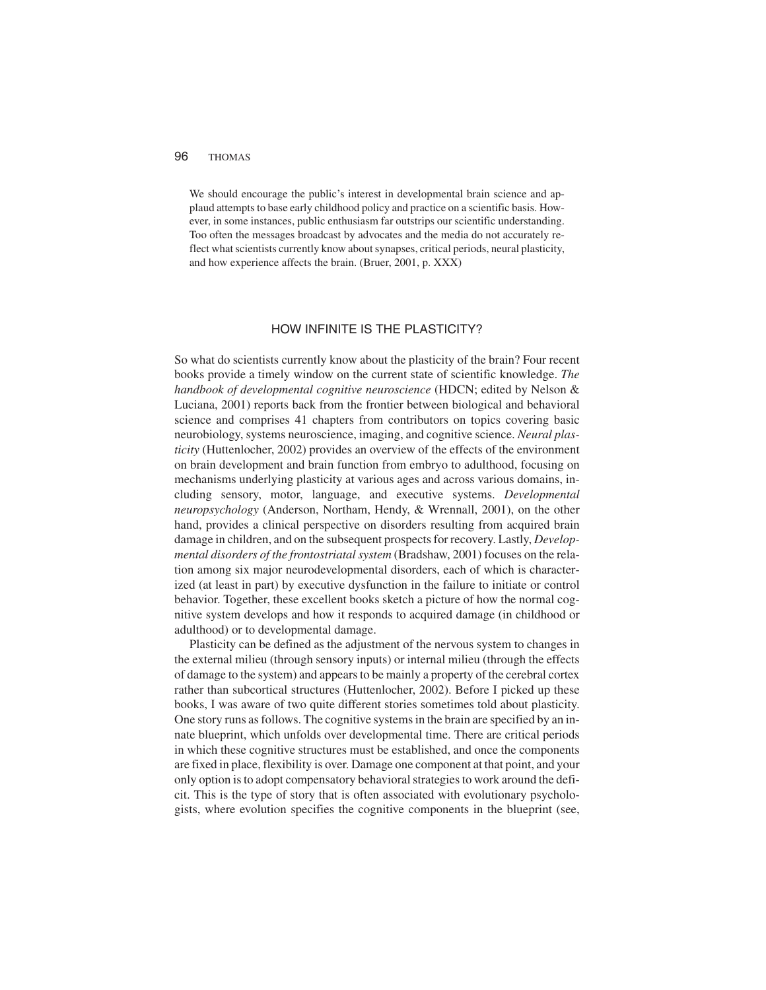We should encourage the public's interest in developmental brain science and applaud attempts to base early childhood policy and practice on a scientific basis. However, in some instances, public enthusiasm far outstrips our scientific understanding. Too often the messages broadcast by advocates and the media do not accurately reflect what scientists currently know about synapses, critical periods, neural plasticity, and how experience affects the brain. (Bruer, 2001, p. XXX)

#### HOW INFINITE IS THE PLASTICITY?

So what do scientists currently know about the plasticity of the brain? Four recent books provide a timely window on the current state of scientific knowledge. *The handbook of developmental cognitive neuroscience* (HDCN; edited by Nelson & Luciana, 2001) reports back from the frontier between biological and behavioral science and comprises 41 chapters from contributors on topics covering basic neurobiology, systems neuroscience, imaging, and cognitive science. *Neural plasticity* (Huttenlocher, 2002) provides an overview of the effects of the environment on brain development and brain function from embryo to adulthood, focusing on mechanisms underlying plasticity at various ages and across various domains, including sensory, motor, language, and executive systems. *Developmental neuropsychology* (Anderson, Northam, Hendy, & Wrennall, 2001), on the other hand, provides a clinical perspective on disorders resulting from acquired brain damage in children, and on the subsequent prospects for recovery. Lastly, *Developmental disorders of the frontostriatal system* (Bradshaw, 2001) focuses on the relation among six major neurodevelopmental disorders, each of which is characterized (at least in part) by executive dysfunction in the failure to initiate or control behavior. Together, these excellent books sketch a picture of how the normal cognitive system develops and how it responds to acquired damage (in childhood or adulthood) or to developmental damage.

Plasticity can be defined as the adjustment of the nervous system to changes in the external milieu (through sensory inputs) or internal milieu (through the effects of damage to the system) and appears to be mainly a property of the cerebral cortex rather than subcortical structures (Huttenlocher, 2002). Before I picked up these books, I was aware of two quite different stories sometimes told about plasticity. One story runs as follows. The cognitive systems in the brain are specified by an innate blueprint, which unfolds over developmental time. There are critical periods in which these cognitive structures must be established, and once the components are fixed in place, flexibility is over. Damage one component at that point, and your only option is to adopt compensatory behavioral strategies to work around the deficit. This is the type of story that is often associated with evolutionary psychologists, where evolution specifies the cognitive components in the blueprint (see,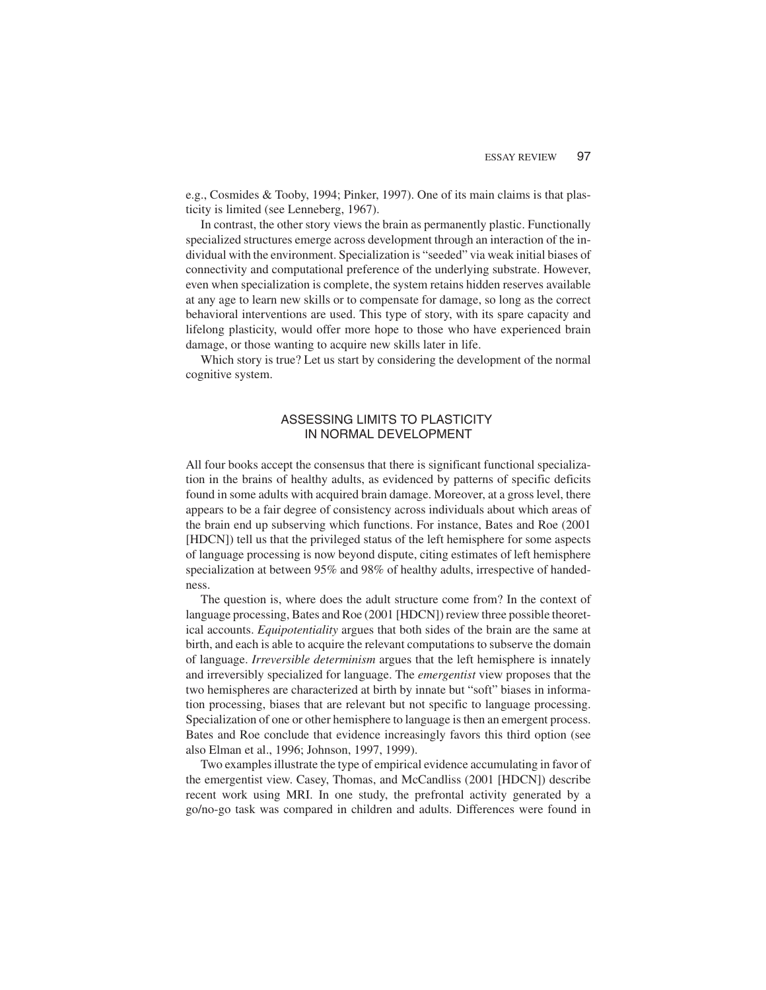e.g., Cosmides & Tooby, 1994; Pinker, 1997). One of its main claims is that plasticity is limited (see Lenneberg, 1967).

In contrast, the other story views the brain as permanently plastic. Functionally specialized structures emerge across development through an interaction of the individual with the environment. Specialization is "seeded" via weak initial biases of connectivity and computational preference of the underlying substrate. However, even when specialization is complete, the system retains hidden reserves available at any age to learn new skills or to compensate for damage, so long as the correct behavioral interventions are used. This type of story, with its spare capacity and lifelong plasticity, would offer more hope to those who have experienced brain damage, or those wanting to acquire new skills later in life.

Which story is true? Let us start by considering the development of the normal cognitive system.

# ASSESSING LIMITS TO PLASTICITY IN NORMAL DEVELOPMENT

All four books accept the consensus that there is significant functional specialization in the brains of healthy adults, as evidenced by patterns of specific deficits found in some adults with acquired brain damage. Moreover, at a gross level, there appears to be a fair degree of consistency across individuals about which areas of the brain end up subserving which functions. For instance, Bates and Roe (2001 [HDCN]) tell us that the privileged status of the left hemisphere for some aspects of language processing is now beyond dispute, citing estimates of left hemisphere specialization at between 95% and 98% of healthy adults, irrespective of handedness.

The question is, where does the adult structure come from? In the context of language processing, Bates and Roe (2001 [HDCN]) review three possible theoretical accounts. *Equipotentiality* argues that both sides of the brain are the same at birth, and each is able to acquire the relevant computations to subserve the domain of language. *Irreversible determinism* argues that the left hemisphere is innately and irreversibly specialized for language. The *emergentist* view proposes that the two hemispheres are characterized at birth by innate but "soft" biases in information processing, biases that are relevant but not specific to language processing. Specialization of one or other hemisphere to language is then an emergent process. Bates and Roe conclude that evidence increasingly favors this third option (see also Elman et al., 1996; Johnson, 1997, 1999).

Two examples illustrate the type of empirical evidence accumulating in favor of the emergentist view. Casey, Thomas, and McCandliss (2001 [HDCN]) describe recent work using MRI. In one study, the prefrontal activity generated by a go/no-go task was compared in children and adults. Differences were found in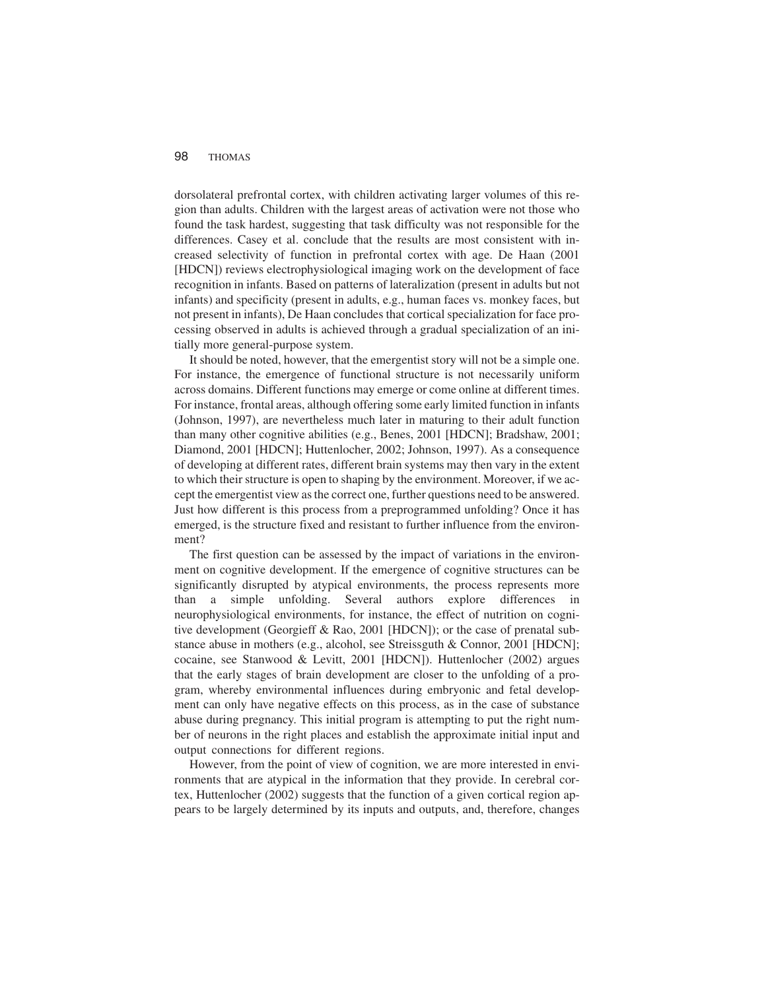dorsolateral prefrontal cortex, with children activating larger volumes of this region than adults. Children with the largest areas of activation were not those who found the task hardest, suggesting that task difficulty was not responsible for the differences. Casey et al. conclude that the results are most consistent with increased selectivity of function in prefrontal cortex with age. De Haan (2001 [HDCN]) reviews electrophysiological imaging work on the development of face recognition in infants. Based on patterns of lateralization (present in adults but not infants) and specificity (present in adults, e.g., human faces vs. monkey faces, but not present in infants), De Haan concludes that cortical specialization for face processing observed in adults is achieved through a gradual specialization of an initially more general-purpose system.

It should be noted, however, that the emergentist story will not be a simple one. For instance, the emergence of functional structure is not necessarily uniform across domains. Different functions may emerge or come online at different times. For instance, frontal areas, although offering some early limited function in infants (Johnson, 1997), are nevertheless much later in maturing to their adult function than many other cognitive abilities (e.g., Benes, 2001 [HDCN]; Bradshaw, 2001; Diamond, 2001 [HDCN]; Huttenlocher, 2002; Johnson, 1997). As a consequence of developing at different rates, different brain systems may then vary in the extent to which their structure is open to shaping by the environment. Moreover, if we accept the emergentist view as the correct one, further questions need to be answered. Just how different is this process from a preprogrammed unfolding? Once it has emerged, is the structure fixed and resistant to further influence from the environment?

The first question can be assessed by the impact of variations in the environment on cognitive development. If the emergence of cognitive structures can be significantly disrupted by atypical environments, the process represents more a simple unfolding. Several authors explore differences in neurophysiological environments, for instance, the effect of nutrition on cognitive development (Georgieff & Rao, 2001 [HDCN]); or the case of prenatal substance abuse in mothers (e.g., alcohol, see Streissguth & Connor, 2001 [HDCN]; cocaine, see Stanwood & Levitt, 2001 [HDCN]). Huttenlocher (2002) argues that the early stages of brain development are closer to the unfolding of a program, whereby environmental influences during embryonic and fetal development can only have negative effects on this process, as in the case of substance abuse during pregnancy. This initial program is attempting to put the right number of neurons in the right places and establish the approximate initial input and output connections for different regions.

However, from the point of view of cognition, we are more interested in environments that are atypical in the information that they provide. In cerebral cortex, Huttenlocher (2002) suggests that the function of a given cortical region appears to be largely determined by its inputs and outputs, and, therefore, changes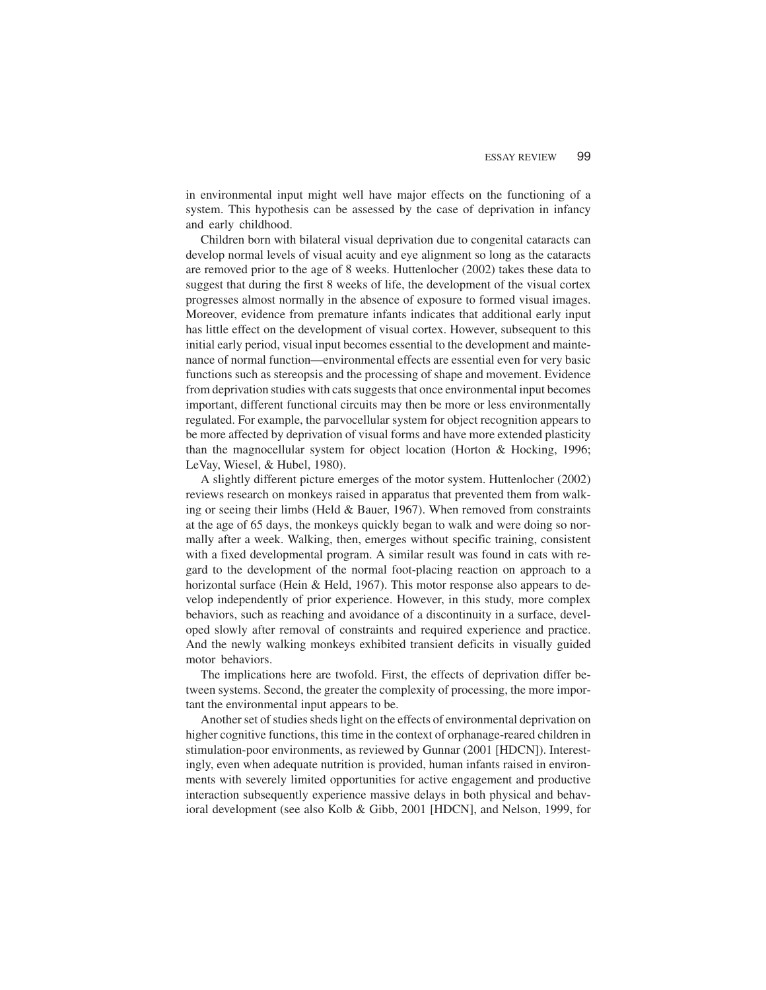in environmental input might well have major effects on the functioning of a system. This hypothesis can be assessed by the case of deprivation in infancy and early childhood.

Children born with bilateral visual deprivation due to congenital cataracts can develop normal levels of visual acuity and eye alignment so long as the cataracts are removed prior to the age of 8 weeks. Huttenlocher (2002) takes these data to suggest that during the first 8 weeks of life, the development of the visual cortex progresses almost normally in the absence of exposure to formed visual images. Moreover, evidence from premature infants indicates that additional early input has little effect on the development of visual cortex. However, subsequent to this initial early period, visual input becomes essential to the development and maintenance of normal function—environmental effects are essential even for very basic functions such as stereopsis and the processing of shape and movement. Evidence from deprivation studies with cats suggests that once environmental input becomes important, different functional circuits may then be more or less environmentally regulated. For example, the parvocellular system for object recognition appears to be more affected by deprivation of visual forms and have more extended plasticity than the magnocellular system for object location (Horton & Hocking, 1996; LeVay, Wiesel, & Hubel, 1980).

A slightly different picture emerges of the motor system. Huttenlocher (2002) reviews research on monkeys raised in apparatus that prevented them from walking or seeing their limbs (Held & Bauer, 1967). When removed from constraints at the age of 65 days, the monkeys quickly began to walk and were doing so normally after a week. Walking, then, emerges without specific training, consistent with a fixed developmental program. A similar result was found in cats with regard to the development of the normal foot-placing reaction on approach to a horizontal surface (Hein & Held, 1967). This motor response also appears to develop independently of prior experience. However, in this study, more complex behaviors, such as reaching and avoidance of a discontinuity in a surface, developed slowly after removal of constraints and required experience and practice. And the newly walking monkeys exhibited transient deficits in visually guided motor behaviors.

The implications here are twofold. First, the effects of deprivation differ between systems. Second, the greater the complexity of processing, the more important the environmental input appears to be.

Another set of studies sheds light on the effects of environmental deprivation on higher cognitive functions, this time in the context of orphanage-reared children in stimulation-poor environments, as reviewed by Gunnar (2001 [HDCN]). Interestingly, even when adequate nutrition is provided, human infants raised in environments with severely limited opportunities for active engagement and productive interaction subsequently experience massive delays in both physical and behavioral development (see also Kolb & Gibb, 2001 [HDCN], and Nelson, 1999, for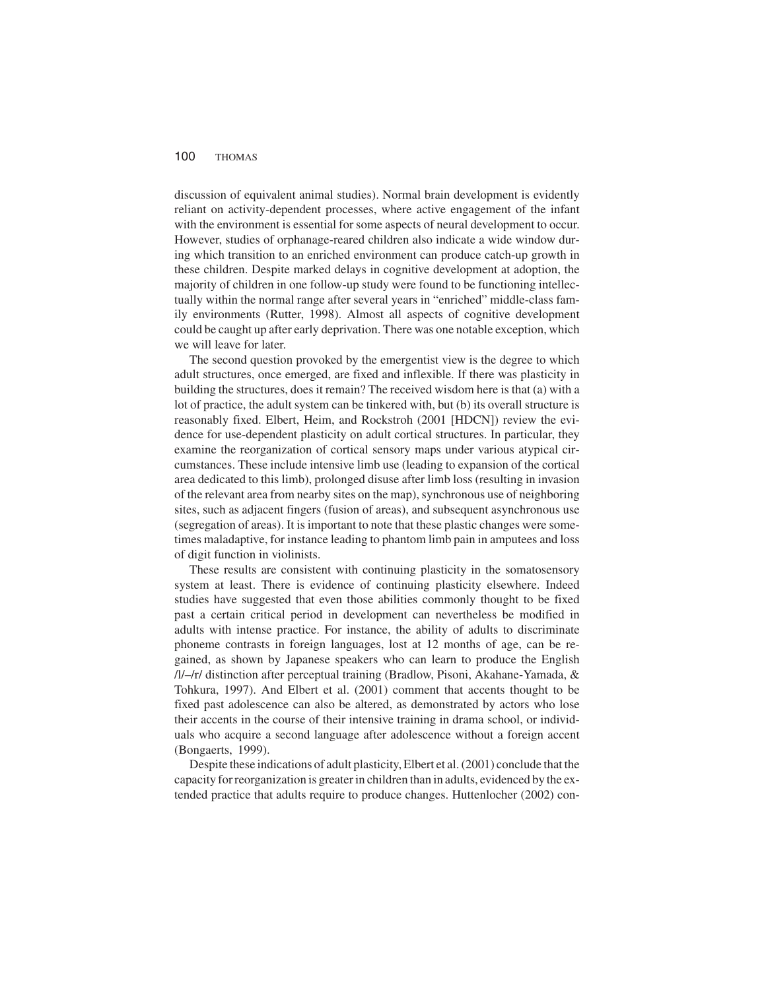discussion of equivalent animal studies). Normal brain development is evidently reliant on activity-dependent processes, where active engagement of the infant with the environment is essential for some aspects of neural development to occur. However, studies of orphanage-reared children also indicate a wide window during which transition to an enriched environment can produce catch-up growth in these children. Despite marked delays in cognitive development at adoption, the majority of children in one follow-up study were found to be functioning intellectually within the normal range after several years in "enriched" middle-class family environments (Rutter, 1998). Almost all aspects of cognitive development could be caught up after early deprivation. There was one notable exception, which we will leave for later.

The second question provoked by the emergentist view is the degree to which adult structures, once emerged, are fixed and inflexible. If there was plasticity in building the structures, does it remain? The received wisdom here is that (a) with a lot of practice, the adult system can be tinkered with, but (b) its overall structure is reasonably fixed. Elbert, Heim, and Rockstroh (2001 [HDCN]) review the evidence for use-dependent plasticity on adult cortical structures. In particular, they examine the reorganization of cortical sensory maps under various atypical circumstances. These include intensive limb use (leading to expansion of the cortical area dedicated to this limb), prolonged disuse after limb loss (resulting in invasion of the relevant area from nearby sites on the map), synchronous use of neighboring sites, such as adjacent fingers (fusion of areas), and subsequent asynchronous use (segregation of areas). It is important to note that these plastic changes were sometimes maladaptive, for instance leading to phantom limb pain in amputees and loss of digit function in violinists.

These results are consistent with continuing plasticity in the somatosensory system at least. There is evidence of continuing plasticity elsewhere. Indeed studies have suggested that even those abilities commonly thought to be fixed past a certain critical period in development can nevertheless be modified in adults with intense practice. For instance, the ability of adults to discriminate phoneme contrasts in foreign languages, lost at 12 months of age, can be regained, as shown by Japanese speakers who can learn to produce the English /l/–/r/ distinction after perceptual training (Bradlow, Pisoni, Akahane-Yamada, & Tohkura, 1997). And Elbert et al. (2001) comment that accents thought to be fixed past adolescence can also be altered, as demonstrated by actors who lose their accents in the course of their intensive training in drama school, or individuals who acquire a second language after adolescence without a foreign accent (Bongaerts, 1999).

Despite these indications of adult plasticity, Elbert et al. (2001) conclude that the capacity for reorganization is greater in children than in adults, evidenced by the extended practice that adults require to produce changes. Huttenlocher (2002) con-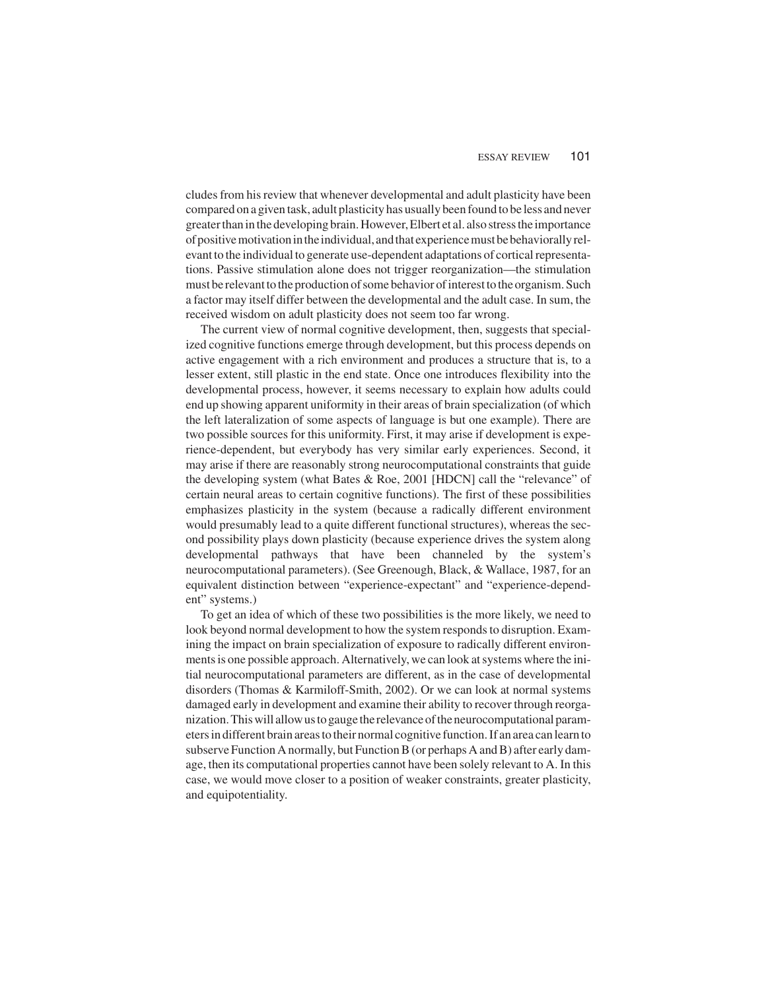cludes from his review that whenever developmental and adult plasticity have been compared on a given task, adult plasticity has usually been found to be less and never greater than in the developing brain. However, Elbert et al. also stress the importance of positive motivation in the individual, and that experience must be behaviorally relevant to the individual to generate use-dependent adaptations of cortical representations. Passive stimulation alone does not trigger reorganization—the stimulation must be relevant to the production of some behavior of interest to the organism. Such a factor may itself differ between the developmental and the adult case. In sum, the received wisdom on adult plasticity does not seem too far wrong.

The current view of normal cognitive development, then, suggests that specialized cognitive functions emerge through development, but this process depends on active engagement with a rich environment and produces a structure that is, to a lesser extent, still plastic in the end state. Once one introduces flexibility into the developmental process, however, it seems necessary to explain how adults could end up showing apparent uniformity in their areas of brain specialization (of which the left lateralization of some aspects of language is but one example). There are two possible sources for this uniformity. First, it may arise if development is experience-dependent, but everybody has very similar early experiences. Second, it may arise if there are reasonably strong neurocomputational constraints that guide the developing system (what Bates & Roe, 2001 [HDCN] call the "relevance" of certain neural areas to certain cognitive functions). The first of these possibilities emphasizes plasticity in the system (because a radically different environment would presumably lead to a quite different functional structures), whereas the second possibility plays down plasticity (because experience drives the system along developmental pathways that have been channeled by the system's neurocomputational parameters). (See Greenough, Black, & Wallace, 1987, for an equivalent distinction between "experience-expectant" and "experience-dependent" systems.)

To get an idea of which of these two possibilities is the more likely, we need to look beyond normal development to how the system responds to disruption. Examining the impact on brain specialization of exposure to radically different environments is one possible approach. Alternatively, we can look at systems where the initial neurocomputational parameters are different, as in the case of developmental disorders (Thomas & Karmiloff-Smith, 2002). Or we can look at normal systems damaged early in development and examine their ability to recover through reorganization. This will allow us to gauge the relevance of the neurocomputational parameters in different brain areas to their normal cognitive function. If an area can learn to subserve Function A normally, but Function B (or perhaps A and B) after early damage, then its computational properties cannot have been solely relevant to A. In this case, we would move closer to a position of weaker constraints, greater plasticity, and equipotentiality.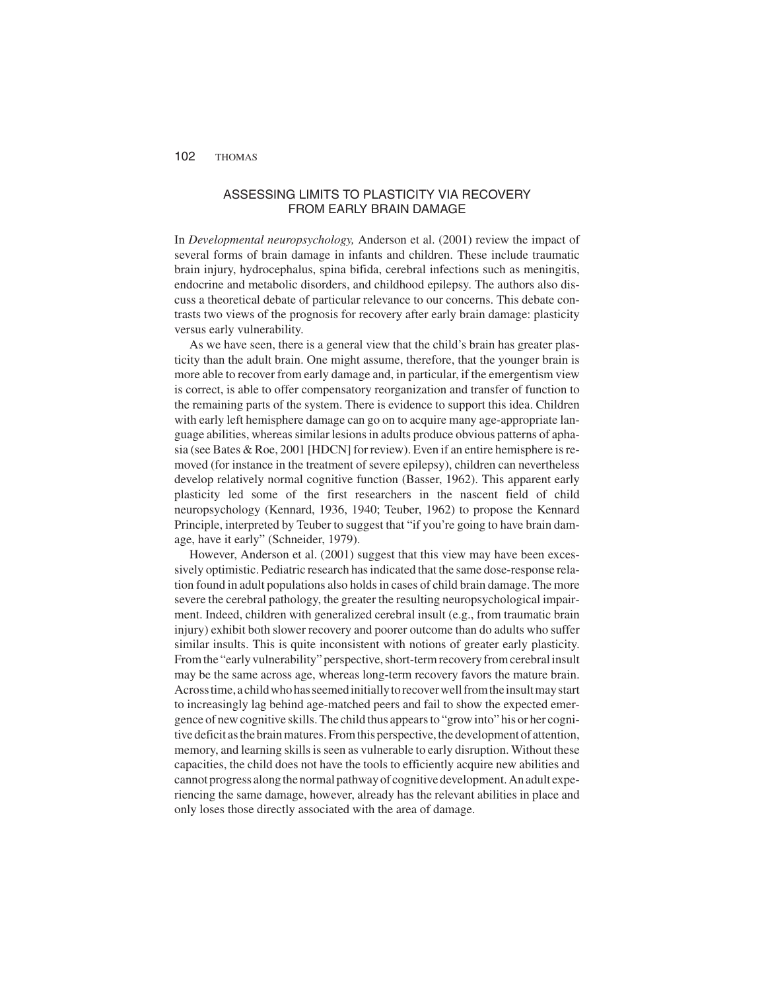# ASSESSING LIMITS TO PLASTICITY VIA RECOVERY FROM EARLY BRAIN DAMAGE

In *Developmental neuropsychology,* Anderson et al. (2001) review the impact of several forms of brain damage in infants and children. These include traumatic brain injury, hydrocephalus, spina bifida, cerebral infections such as meningitis, endocrine and metabolic disorders, and childhood epilepsy. The authors also discuss a theoretical debate of particular relevance to our concerns. This debate contrasts two views of the prognosis for recovery after early brain damage: plasticity versus early vulnerability.

As we have seen, there is a general view that the child's brain has greater plasticity than the adult brain. One might assume, therefore, that the younger brain is more able to recover from early damage and, in particular, if the emergentism view is correct, is able to offer compensatory reorganization and transfer of function to the remaining parts of the system. There is evidence to support this idea. Children with early left hemisphere damage can go on to acquire many age-appropriate language abilities, whereas similar lesions in adults produce obvious patterns of aphasia (see Bates  $& \text{Roe}, 2001$  [HDCN] for review). Even if an entire hemisphere is removed (for instance in the treatment of severe epilepsy), children can nevertheless develop relatively normal cognitive function (Basser, 1962). This apparent early plasticity led some of the first researchers in the nascent field of child neuropsychology (Kennard, 1936, 1940; Teuber, 1962) to propose the Kennard Principle, interpreted by Teuber to suggest that "if you're going to have brain damage, have it early" (Schneider, 1979).

However, Anderson et al. (2001) suggest that this view may have been excessively optimistic. Pediatric research has indicated that the same dose-response relation found in adult populations also holds in cases of child brain damage. The more severe the cerebral pathology, the greater the resulting neuropsychological impairment. Indeed, children with generalized cerebral insult (e.g., from traumatic brain injury) exhibit both slower recovery and poorer outcome than do adults who suffer similar insults. This is quite inconsistent with notions of greater early plasticity. From the "early vulnerability" perspective, short-term recovery from cerebral insult may be the same across age, whereas long-term recovery favors the mature brain. Across time, a child who has seemed initially to recover well from the insult may start to increasingly lag behind age-matched peers and fail to show the expected emergence of new cognitive skills. The child thus appears to "grow into" his or her cognitive deficit as the brain matures. From this perspective, the development of attention, memory, and learning skills is seen as vulnerable to early disruption. Without these capacities, the child does not have the tools to efficiently acquire new abilities and cannot progress along the normal pathway of cognitive development. An adult experiencing the same damage, however, already has the relevant abilities in place and only loses those directly associated with the area of damage.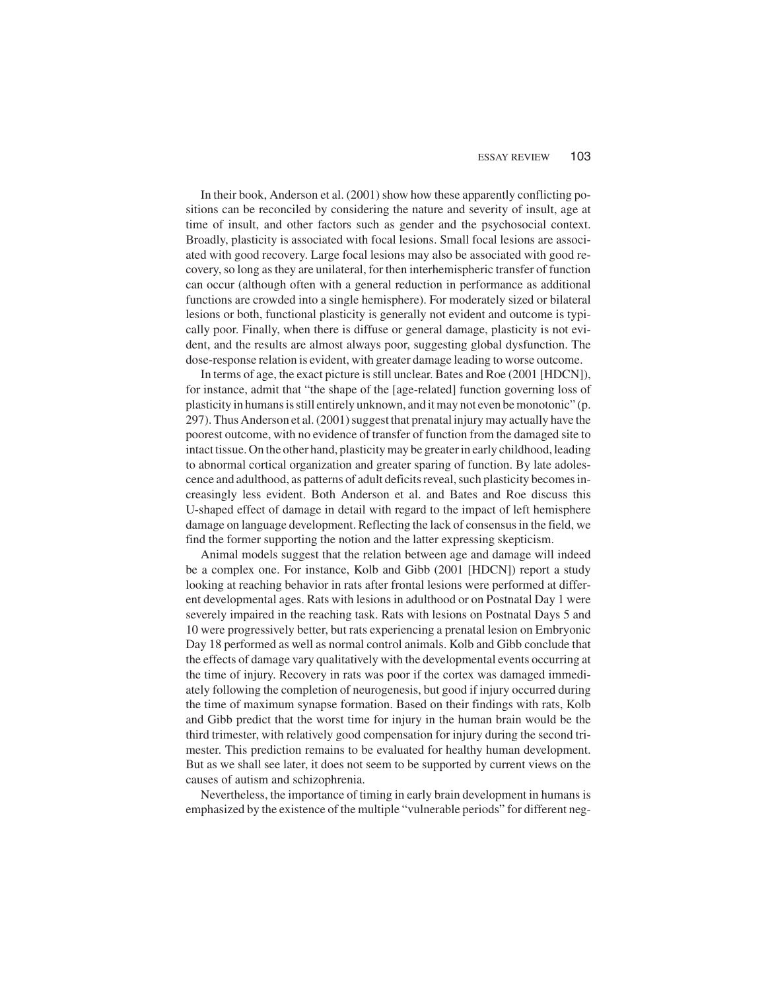In their book, Anderson et al. (2001) show how these apparently conflicting positions can be reconciled by considering the nature and severity of insult, age at time of insult, and other factors such as gender and the psychosocial context. Broadly, plasticity is associated with focal lesions. Small focal lesions are associated with good recovery. Large focal lesions may also be associated with good recovery, so long as they are unilateral, for then interhemispheric transfer of function can occur (although often with a general reduction in performance as additional functions are crowded into a single hemisphere). For moderately sized or bilateral lesions or both, functional plasticity is generally not evident and outcome is typically poor. Finally, when there is diffuse or general damage, plasticity is not evident, and the results are almost always poor, suggesting global dysfunction. The dose-response relation is evident, with greater damage leading to worse outcome.

In terms of age, the exact picture is still unclear. Bates and Roe (2001 [HDCN]), for instance, admit that "the shape of the [age-related] function governing loss of plasticity in humans is still entirely unknown, and it may not even be monotonic" (p. 297). Thus Anderson et al. (2001) suggest that prenatal injury may actually have the poorest outcome, with no evidence of transfer of function from the damaged site to intact tissue. On the other hand, plasticity may be greater in early childhood, leading to abnormal cortical organization and greater sparing of function. By late adolescence and adulthood, as patterns of adult deficits reveal, such plasticity becomes increasingly less evident. Both Anderson et al. and Bates and Roe discuss this U-shaped effect of damage in detail with regard to the impact of left hemisphere damage on language development. Reflecting the lack of consensus in the field, we find the former supporting the notion and the latter expressing skepticism.

Animal models suggest that the relation between age and damage will indeed be a complex one. For instance, Kolb and Gibb (2001 [HDCN]) report a study looking at reaching behavior in rats after frontal lesions were performed at different developmental ages. Rats with lesions in adulthood or on Postnatal Day 1 were severely impaired in the reaching task. Rats with lesions on Postnatal Days 5 and 10 were progressively better, but rats experiencing a prenatal lesion on Embryonic Day 18 performed as well as normal control animals. Kolb and Gibb conclude that the effects of damage vary qualitatively with the developmental events occurring at the time of injury. Recovery in rats was poor if the cortex was damaged immediately following the completion of neurogenesis, but good if injury occurred during the time of maximum synapse formation. Based on their findings with rats, Kolb and Gibb predict that the worst time for injury in the human brain would be the third trimester, with relatively good compensation for injury during the second trimester. This prediction remains to be evaluated for healthy human development. But as we shall see later, it does not seem to be supported by current views on the causes of autism and schizophrenia.

Nevertheless, the importance of timing in early brain development in humans is emphasized by the existence of the multiple "vulnerable periods" for different neg-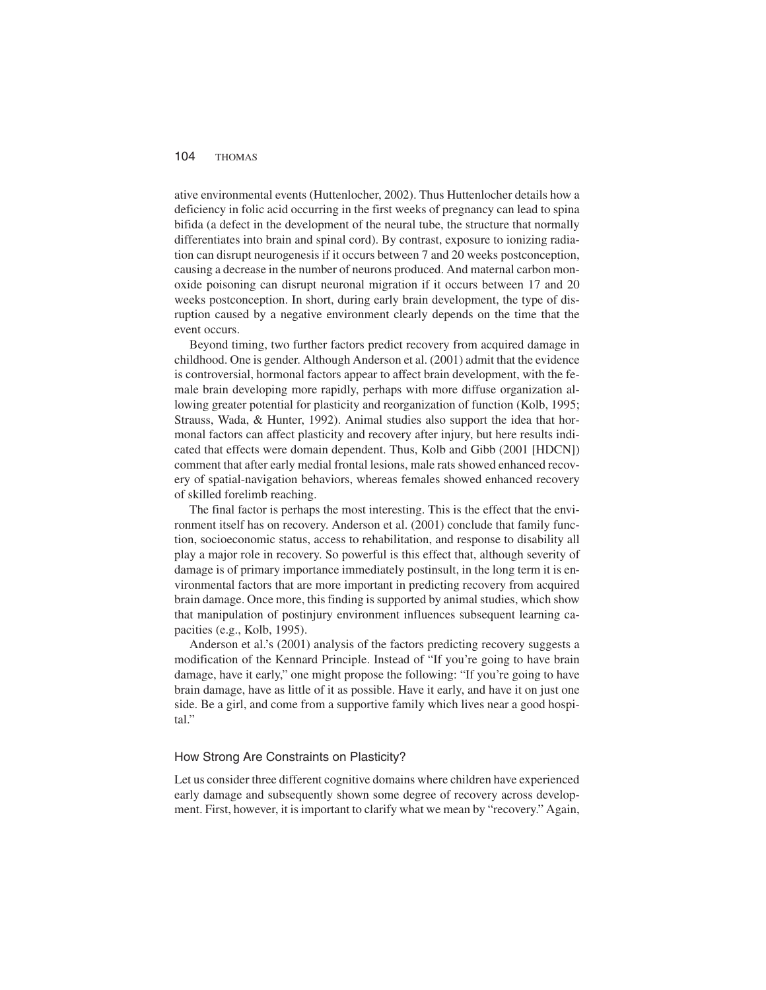ative environmental events (Huttenlocher, 2002). Thus Huttenlocher details how a deficiency in folic acid occurring in the first weeks of pregnancy can lead to spina bifida (a defect in the development of the neural tube, the structure that normally differentiates into brain and spinal cord). By contrast, exposure to ionizing radiation can disrupt neurogenesis if it occurs between 7 and 20 weeks postconception, causing a decrease in the number of neurons produced. And maternal carbon monoxide poisoning can disrupt neuronal migration if it occurs between 17 and 20 weeks postconception. In short, during early brain development, the type of disruption caused by a negative environment clearly depends on the time that the event occurs.

Beyond timing, two further factors predict recovery from acquired damage in childhood. One is gender. Although Anderson et al. (2001) admit that the evidence is controversial, hormonal factors appear to affect brain development, with the female brain developing more rapidly, perhaps with more diffuse organization allowing greater potential for plasticity and reorganization of function (Kolb, 1995; Strauss, Wada, & Hunter, 1992). Animal studies also support the idea that hormonal factors can affect plasticity and recovery after injury, but here results indicated that effects were domain dependent. Thus, Kolb and Gibb (2001 [HDCN]) comment that after early medial frontal lesions, male rats showed enhanced recovery of spatial-navigation behaviors, whereas females showed enhanced recovery of skilled forelimb reaching.

The final factor is perhaps the most interesting. This is the effect that the environment itself has on recovery. Anderson et al. (2001) conclude that family function, socioeconomic status, access to rehabilitation, and response to disability all play a major role in recovery. So powerful is this effect that, although severity of damage is of primary importance immediately postinsult, in the long term it is environmental factors that are more important in predicting recovery from acquired brain damage. Once more, this finding is supported by animal studies, which show that manipulation of postinjury environment influences subsequent learning capacities (e.g., Kolb, 1995).

Anderson et al.'s (2001) analysis of the factors predicting recovery suggests a modification of the Kennard Principle. Instead of "If you're going to have brain damage, have it early," one might propose the following: "If you're going to have brain damage, have as little of it as possible. Have it early, and have it on just one side. Be a girl, and come from a supportive family which lives near a good hospital."

#### How Strong Are Constraints on Plasticity?

Let us consider three different cognitive domains where children have experienced early damage and subsequently shown some degree of recovery across development. First, however, it is important to clarify what we mean by "recovery." Again,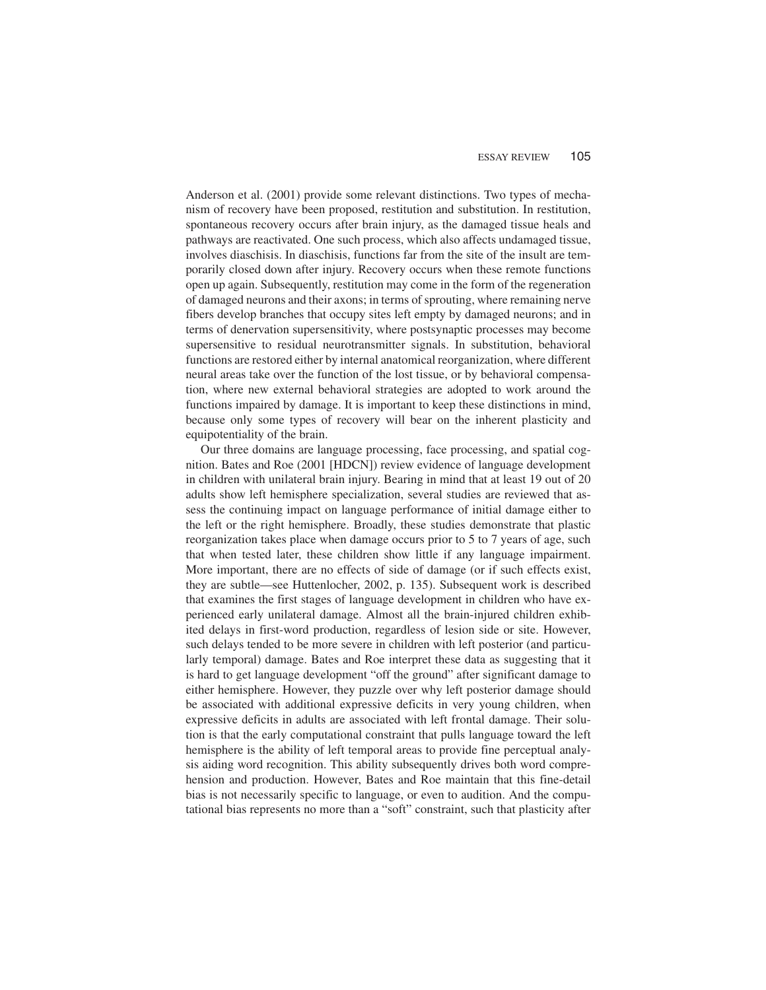Anderson et al. (2001) provide some relevant distinctions. Two types of mechanism of recovery have been proposed, restitution and substitution. In restitution, spontaneous recovery occurs after brain injury, as the damaged tissue heals and pathways are reactivated. One such process, which also affects undamaged tissue, involves diaschisis. In diaschisis, functions far from the site of the insult are temporarily closed down after injury. Recovery occurs when these remote functions open up again. Subsequently, restitution may come in the form of the regeneration of damaged neurons and their axons; in terms of sprouting, where remaining nerve fibers develop branches that occupy sites left empty by damaged neurons; and in terms of denervation supersensitivity, where postsynaptic processes may become supersensitive to residual neurotransmitter signals. In substitution, behavioral functions are restored either by internal anatomical reorganization, where different neural areas take over the function of the lost tissue, or by behavioral compensation, where new external behavioral strategies are adopted to work around the functions impaired by damage. It is important to keep these distinctions in mind, because only some types of recovery will bear on the inherent plasticity and equipotentiality of the brain.

Our three domains are language processing, face processing, and spatial cognition. Bates and Roe (2001 [HDCN]) review evidence of language development in children with unilateral brain injury. Bearing in mind that at least 19 out of 20 adults show left hemisphere specialization, several studies are reviewed that assess the continuing impact on language performance of initial damage either to the left or the right hemisphere. Broadly, these studies demonstrate that plastic reorganization takes place when damage occurs prior to 5 to 7 years of age, such that when tested later, these children show little if any language impairment. More important, there are no effects of side of damage (or if such effects exist, they are subtle—see Huttenlocher, 2002, p. 135). Subsequent work is described that examines the first stages of language development in children who have experienced early unilateral damage. Almost all the brain-injured children exhibited delays in first-word production, regardless of lesion side or site. However, such delays tended to be more severe in children with left posterior (and particularly temporal) damage. Bates and Roe interpret these data as suggesting that it is hard to get language development "off the ground" after significant damage to either hemisphere. However, they puzzle over why left posterior damage should be associated with additional expressive deficits in very young children, when expressive deficits in adults are associated with left frontal damage. Their solution is that the early computational constraint that pulls language toward the left hemisphere is the ability of left temporal areas to provide fine perceptual analysis aiding word recognition. This ability subsequently drives both word comprehension and production. However, Bates and Roe maintain that this fine-detail bias is not necessarily specific to language, or even to audition. And the computational bias represents no more than a "soft" constraint, such that plasticity after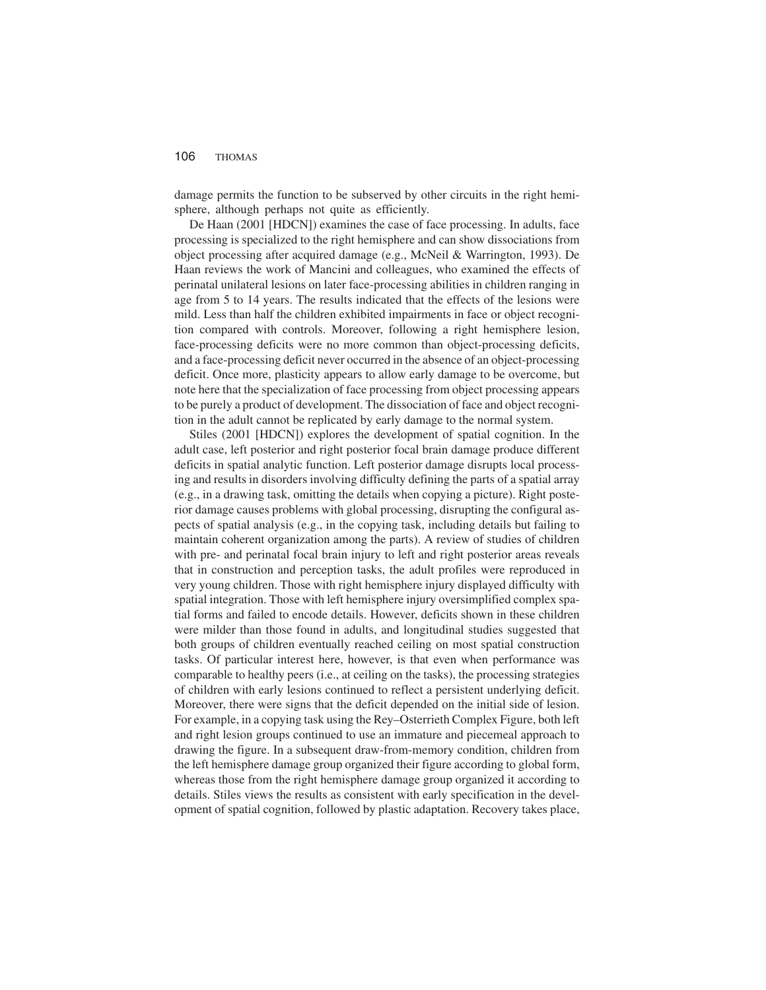damage permits the function to be subserved by other circuits in the right hemisphere, although perhaps not quite as efficiently.

De Haan (2001 [HDCN]) examines the case of face processing. In adults, face processing is specialized to the right hemisphere and can show dissociations from object processing after acquired damage (e.g., McNeil & Warrington, 1993). De Haan reviews the work of Mancini and colleagues, who examined the effects of perinatal unilateral lesions on later face-processing abilities in children ranging in age from 5 to 14 years. The results indicated that the effects of the lesions were mild. Less than half the children exhibited impairments in face or object recognition compared with controls. Moreover, following a right hemisphere lesion, face-processing deficits were no more common than object-processing deficits, and a face-processing deficit never occurred in the absence of an object-processing deficit. Once more, plasticity appears to allow early damage to be overcome, but note here that the specialization of face processing from object processing appears to be purely a product of development. The dissociation of face and object recognition in the adult cannot be replicated by early damage to the normal system.

Stiles (2001 [HDCN]) explores the development of spatial cognition. In the adult case, left posterior and right posterior focal brain damage produce different deficits in spatial analytic function. Left posterior damage disrupts local processing and results in disorders involving difficulty defining the parts of a spatial array (e.g., in a drawing task, omitting the details when copying a picture). Right posterior damage causes problems with global processing, disrupting the configural aspects of spatial analysis (e.g., in the copying task, including details but failing to maintain coherent organization among the parts). A review of studies of children with pre- and perinatal focal brain injury to left and right posterior areas reveals that in construction and perception tasks, the adult profiles were reproduced in very young children. Those with right hemisphere injury displayed difficulty with spatial integration. Those with left hemisphere injury oversimplified complex spatial forms and failed to encode details. However, deficits shown in these children were milder than those found in adults, and longitudinal studies suggested that both groups of children eventually reached ceiling on most spatial construction tasks. Of particular interest here, however, is that even when performance was comparable to healthy peers (i.e., at ceiling on the tasks), the processing strategies of children with early lesions continued to reflect a persistent underlying deficit. Moreover, there were signs that the deficit depended on the initial side of lesion. For example, in a copying task using the Rey–Osterrieth Complex Figure, both left and right lesion groups continued to use an immature and piecemeal approach to drawing the figure. In a subsequent draw-from-memory condition, children from the left hemisphere damage group organized their figure according to global form, whereas those from the right hemisphere damage group organized it according to details. Stiles views the results as consistent with early specification in the development of spatial cognition, followed by plastic adaptation. Recovery takes place,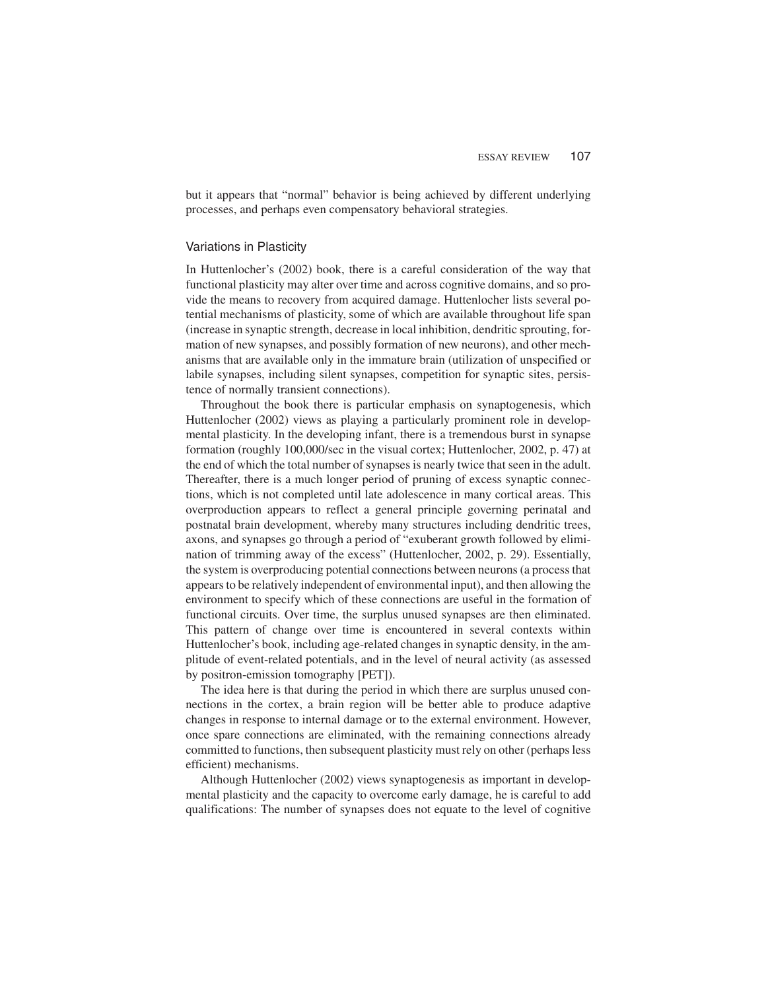but it appears that "normal" behavior is being achieved by different underlying processes, and perhaps even compensatory behavioral strategies.

# Variations in Plasticity

In Huttenlocher's (2002) book, there is a careful consideration of the way that functional plasticity may alter over time and across cognitive domains, and so provide the means to recovery from acquired damage. Huttenlocher lists several potential mechanisms of plasticity, some of which are available throughout life span (increase in synaptic strength, decrease in local inhibition, dendritic sprouting, formation of new synapses, and possibly formation of new neurons), and other mechanisms that are available only in the immature brain (utilization of unspecified or labile synapses, including silent synapses, competition for synaptic sites, persistence of normally transient connections).

Throughout the book there is particular emphasis on synaptogenesis, which Huttenlocher (2002) views as playing a particularly prominent role in developmental plasticity. In the developing infant, there is a tremendous burst in synapse formation (roughly 100,000/sec in the visual cortex; Huttenlocher, 2002, p. 47) at the end of which the total number of synapses is nearly twice that seen in the adult. Thereafter, there is a much longer period of pruning of excess synaptic connections, which is not completed until late adolescence in many cortical areas. This overproduction appears to reflect a general principle governing perinatal and postnatal brain development, whereby many structures including dendritic trees, axons, and synapses go through a period of "exuberant growth followed by elimination of trimming away of the excess" (Huttenlocher, 2002, p. 29). Essentially, the system is overproducing potential connections between neurons (a process that appears to be relatively independent of environmental input), and then allowing the environment to specify which of these connections are useful in the formation of functional circuits. Over time, the surplus unused synapses are then eliminated. This pattern of change over time is encountered in several contexts within Huttenlocher's book, including age-related changes in synaptic density, in the amplitude of event-related potentials, and in the level of neural activity (as assessed by positron-emission tomography [PET]).

The idea here is that during the period in which there are surplus unused connections in the cortex, a brain region will be better able to produce adaptive changes in response to internal damage or to the external environment. However, once spare connections are eliminated, with the remaining connections already committed to functions, then subsequent plasticity must rely on other (perhaps less efficient) mechanisms.

Although Huttenlocher (2002) views synaptogenesis as important in developmental plasticity and the capacity to overcome early damage, he is careful to add qualifications: The number of synapses does not equate to the level of cognitive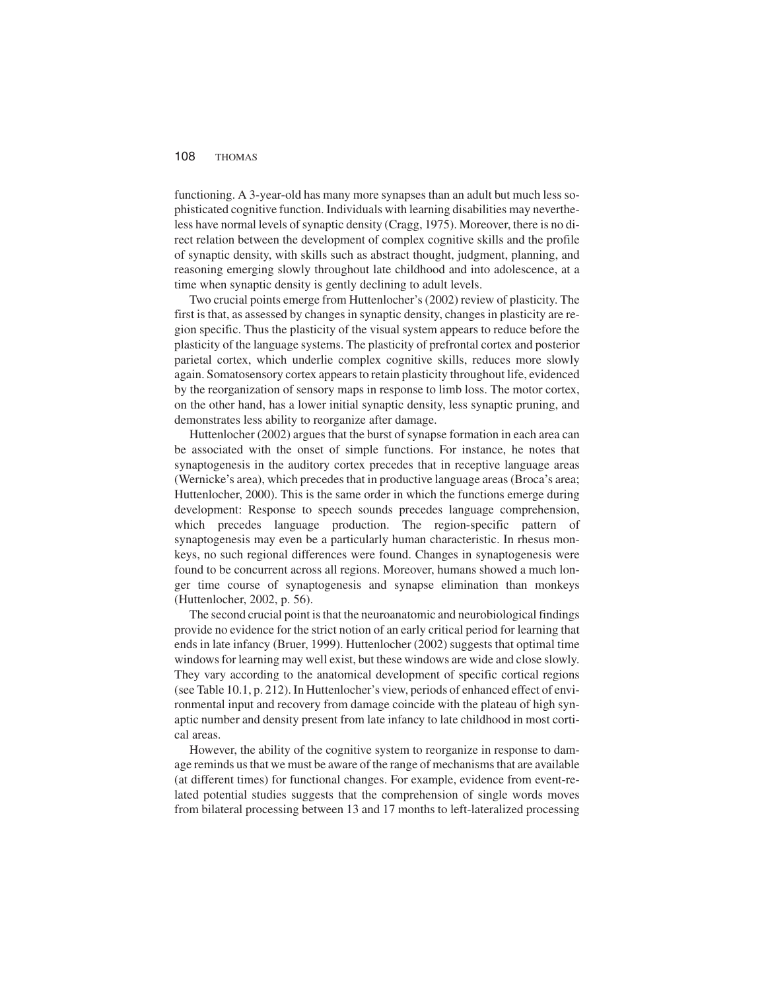functioning. A 3-year-old has many more synapses than an adult but much less sophisticated cognitive function. Individuals with learning disabilities may nevertheless have normal levels of synaptic density (Cragg, 1975). Moreover, there is no direct relation between the development of complex cognitive skills and the profile of synaptic density, with skills such as abstract thought, judgment, planning, and reasoning emerging slowly throughout late childhood and into adolescence, at a time when synaptic density is gently declining to adult levels.

Two crucial points emerge from Huttenlocher's (2002) review of plasticity. The first is that, as assessed by changes in synaptic density, changes in plasticity are region specific. Thus the plasticity of the visual system appears to reduce before the plasticity of the language systems. The plasticity of prefrontal cortex and posterior parietal cortex, which underlie complex cognitive skills, reduces more slowly again. Somatosensory cortex appears to retain plasticity throughout life, evidenced by the reorganization of sensory maps in response to limb loss. The motor cortex, on the other hand, has a lower initial synaptic density, less synaptic pruning, and demonstrates less ability to reorganize after damage.

Huttenlocher (2002) argues that the burst of synapse formation in each area can be associated with the onset of simple functions. For instance, he notes that synaptogenesis in the auditory cortex precedes that in receptive language areas (Wernicke's area), which precedes that in productive language areas (Broca's area; Huttenlocher, 2000). This is the same order in which the functions emerge during development: Response to speech sounds precedes language comprehension, which precedes language production. The region-specific pattern of synaptogenesis may even be a particularly human characteristic. In rhesus monkeys, no such regional differences were found. Changes in synaptogenesis were found to be concurrent across all regions. Moreover, humans showed a much longer time course of synaptogenesis and synapse elimination than monkeys (Huttenlocher, 2002, p. 56).

The second crucial point is that the neuroanatomic and neurobiological findings provide no evidence for the strict notion of an early critical period for learning that ends in late infancy (Bruer, 1999). Huttenlocher (2002) suggests that optimal time windows for learning may well exist, but these windows are wide and close slowly. They vary according to the anatomical development of specific cortical regions (see Table 10.1, p. 212). In Huttenlocher's view, periods of enhanced effect of environmental input and recovery from damage coincide with the plateau of high synaptic number and density present from late infancy to late childhood in most cortical areas.

However, the ability of the cognitive system to reorganize in response to damage reminds us that we must be aware of the range of mechanisms that are available (at different times) for functional changes. For example, evidence from event-related potential studies suggests that the comprehension of single words moves from bilateral processing between 13 and 17 months to left-lateralized processing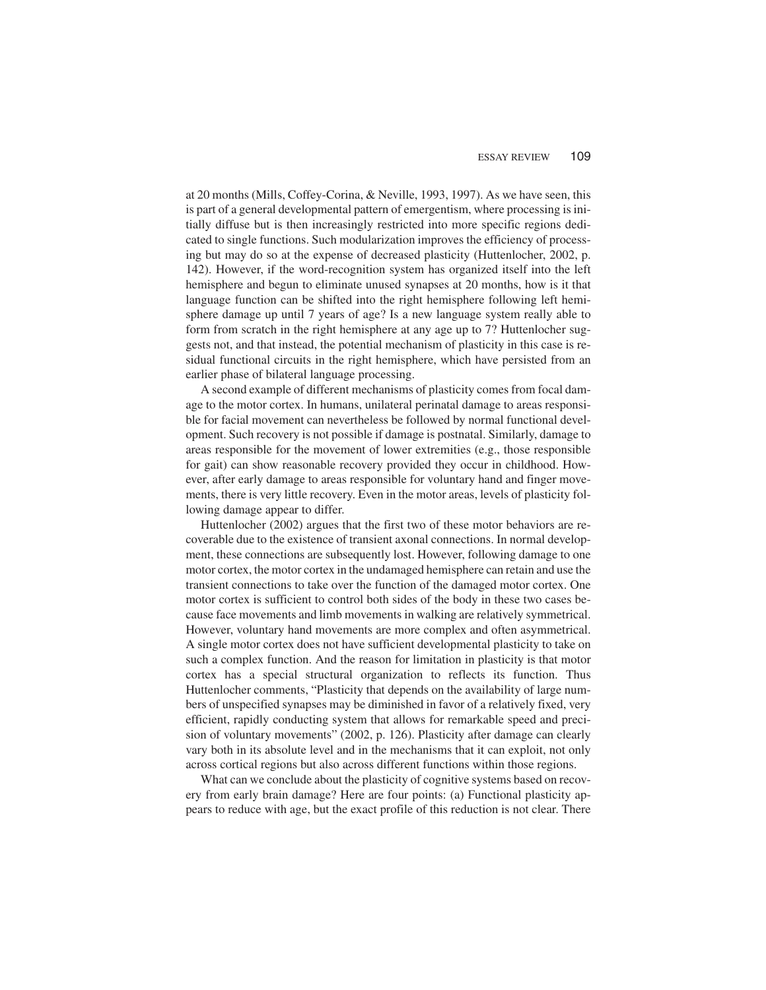at 20 months (Mills, Coffey-Corina, & Neville, 1993, 1997). As we have seen, this is part of a general developmental pattern of emergentism, where processing is initially diffuse but is then increasingly restricted into more specific regions dedicated to single functions. Such modularization improves the efficiency of processing but may do so at the expense of decreased plasticity (Huttenlocher, 2002, p. 142). However, if the word-recognition system has organized itself into the left hemisphere and begun to eliminate unused synapses at 20 months, how is it that language function can be shifted into the right hemisphere following left hemisphere damage up until 7 years of age? Is a new language system really able to form from scratch in the right hemisphere at any age up to 7? Huttenlocher suggests not, and that instead, the potential mechanism of plasticity in this case is residual functional circuits in the right hemisphere, which have persisted from an earlier phase of bilateral language processing.

A second example of different mechanisms of plasticity comes from focal damage to the motor cortex. In humans, unilateral perinatal damage to areas responsible for facial movement can nevertheless be followed by normal functional development. Such recovery is not possible if damage is postnatal. Similarly, damage to areas responsible for the movement of lower extremities (e.g., those responsible for gait) can show reasonable recovery provided they occur in childhood. However, after early damage to areas responsible for voluntary hand and finger movements, there is very little recovery. Even in the motor areas, levels of plasticity following damage appear to differ.

Huttenlocher (2002) argues that the first two of these motor behaviors are recoverable due to the existence of transient axonal connections. In normal development, these connections are subsequently lost. However, following damage to one motor cortex, the motor cortex in the undamaged hemisphere can retain and use the transient connections to take over the function of the damaged motor cortex. One motor cortex is sufficient to control both sides of the body in these two cases because face movements and limb movements in walking are relatively symmetrical. However, voluntary hand movements are more complex and often asymmetrical. A single motor cortex does not have sufficient developmental plasticity to take on such a complex function. And the reason for limitation in plasticity is that motor cortex has a special structural organization to reflects its function. Thus Huttenlocher comments, "Plasticity that depends on the availability of large numbers of unspecified synapses may be diminished in favor of a relatively fixed, very efficient, rapidly conducting system that allows for remarkable speed and precision of voluntary movements" (2002, p. 126). Plasticity after damage can clearly vary both in its absolute level and in the mechanisms that it can exploit, not only across cortical regions but also across different functions within those regions.

What can we conclude about the plasticity of cognitive systems based on recovery from early brain damage? Here are four points: (a) Functional plasticity appears to reduce with age, but the exact profile of this reduction is not clear. There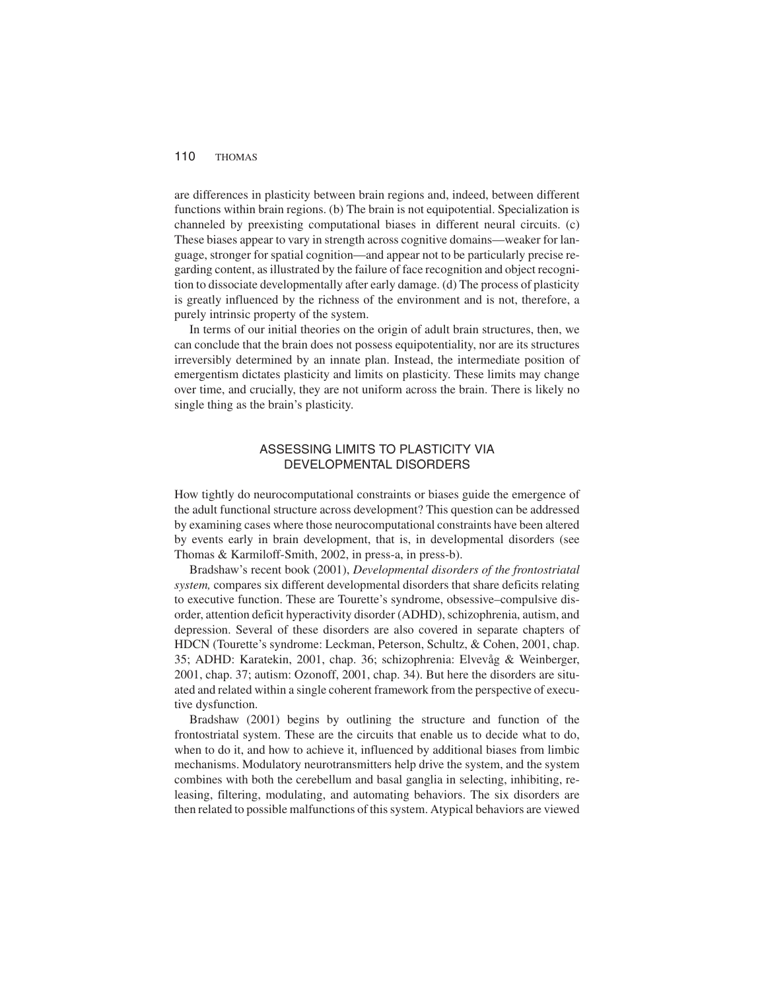are differences in plasticity between brain regions and, indeed, between different functions within brain regions. (b) The brain is not equipotential. Specialization is channeled by preexisting computational biases in different neural circuits. (c) These biases appear to vary in strength across cognitive domains—weaker for language, stronger for spatial cognition—and appear not to be particularly precise regarding content, as illustrated by the failure of face recognition and object recognition to dissociate developmentally after early damage. (d) The process of plasticity is greatly influenced by the richness of the environment and is not, therefore, a purely intrinsic property of the system.

In terms of our initial theories on the origin of adult brain structures, then, we can conclude that the brain does not possess equipotentiality, nor are its structures irreversibly determined by an innate plan. Instead, the intermediate position of emergentism dictates plasticity and limits on plasticity. These limits may change over time, and crucially, they are not uniform across the brain. There is likely no single thing as the brain's plasticity.

# ASSESSING LIMITS TO PLASTICITY VIA DEVELOPMENTAL DISORDERS

How tightly do neurocomputational constraints or biases guide the emergence of the adult functional structure across development? This question can be addressed by examining cases where those neurocomputational constraints have been altered by events early in brain development, that is, in developmental disorders (see Thomas & Karmiloff-Smith, 2002, in press-a, in press-b).

Bradshaw's recent book (2001), *Developmental disorders of the frontostriatal system,* compares six different developmental disorders that share deficits relating to executive function. These are Tourette's syndrome, obsessive–compulsive disorder, attention deficit hyperactivity disorder (ADHD), schizophrenia, autism, and depression. Several of these disorders are also covered in separate chapters of HDCN (Tourette's syndrome: Leckman, Peterson, Schultz, & Cohen, 2001, chap. 35; ADHD: Karatekin, 2001, chap. 36; schizophrenia: Elvevåg & Weinberger, 2001, chap. 37; autism: Ozonoff, 2001, chap. 34). But here the disorders are situated and related within a single coherent framework from the perspective of executive dysfunction.

Bradshaw (2001) begins by outlining the structure and function of the frontostriatal system. These are the circuits that enable us to decide what to do, when to do it, and how to achieve it, influenced by additional biases from limbic mechanisms. Modulatory neurotransmitters help drive the system, and the system combines with both the cerebellum and basal ganglia in selecting, inhibiting, releasing, filtering, modulating, and automating behaviors. The six disorders are then related to possible malfunctions of this system. Atypical behaviors are viewed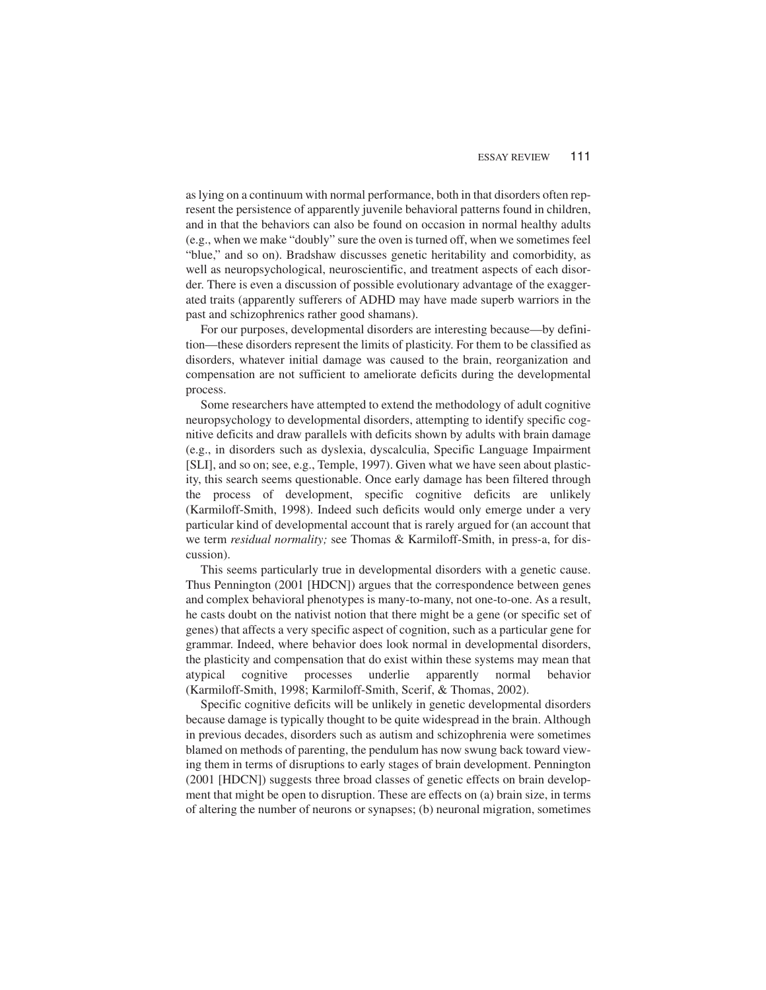as lying on a continuum with normal performance, both in that disorders often represent the persistence of apparently juvenile behavioral patterns found in children, and in that the behaviors can also be found on occasion in normal healthy adults (e.g., when we make "doubly" sure the oven is turned off, when we sometimes feel "blue," and so on). Bradshaw discusses genetic heritability and comorbidity, as well as neuropsychological, neuroscientific, and treatment aspects of each disorder. There is even a discussion of possible evolutionary advantage of the exaggerated traits (apparently sufferers of ADHD may have made superb warriors in the past and schizophrenics rather good shamans).

For our purposes, developmental disorders are interesting because—by definition—these disorders represent the limits of plasticity. For them to be classified as disorders, whatever initial damage was caused to the brain, reorganization and compensation are not sufficient to ameliorate deficits during the developmental process.

Some researchers have attempted to extend the methodology of adult cognitive neuropsychology to developmental disorders, attempting to identify specific cognitive deficits and draw parallels with deficits shown by adults with brain damage (e.g., in disorders such as dyslexia, dyscalculia, Specific Language Impairment [SLI], and so on; see, e.g., Temple, 1997). Given what we have seen about plasticity, this search seems questionable. Once early damage has been filtered through the process of development, specific cognitive deficits are unlikely (Karmiloff-Smith, 1998). Indeed such deficits would only emerge under a very particular kind of developmental account that is rarely argued for (an account that we term *residual normality;* see Thomas & Karmiloff-Smith, in press-a, for discussion).

This seems particularly true in developmental disorders with a genetic cause. Thus Pennington (2001 [HDCN]) argues that the correspondence between genes and complex behavioral phenotypes is many-to-many, not one-to-one. As a result, he casts doubt on the nativist notion that there might be a gene (or specific set of genes) that affects a very specific aspect of cognition, such as a particular gene for grammar. Indeed, where behavior does look normal in developmental disorders, the plasticity and compensation that do exist within these systems may mean that atypical cognitive processes underlie apparently normal behavior (Karmiloff-Smith, 1998; Karmiloff-Smith, Scerif, & Thomas, 2002).

Specific cognitive deficits will be unlikely in genetic developmental disorders because damage is typically thought to be quite widespread in the brain. Although in previous decades, disorders such as autism and schizophrenia were sometimes blamed on methods of parenting, the pendulum has now swung back toward viewing them in terms of disruptions to early stages of brain development. Pennington (2001 [HDCN]) suggests three broad classes of genetic effects on brain development that might be open to disruption. These are effects on (a) brain size, in terms of altering the number of neurons or synapses; (b) neuronal migration, sometimes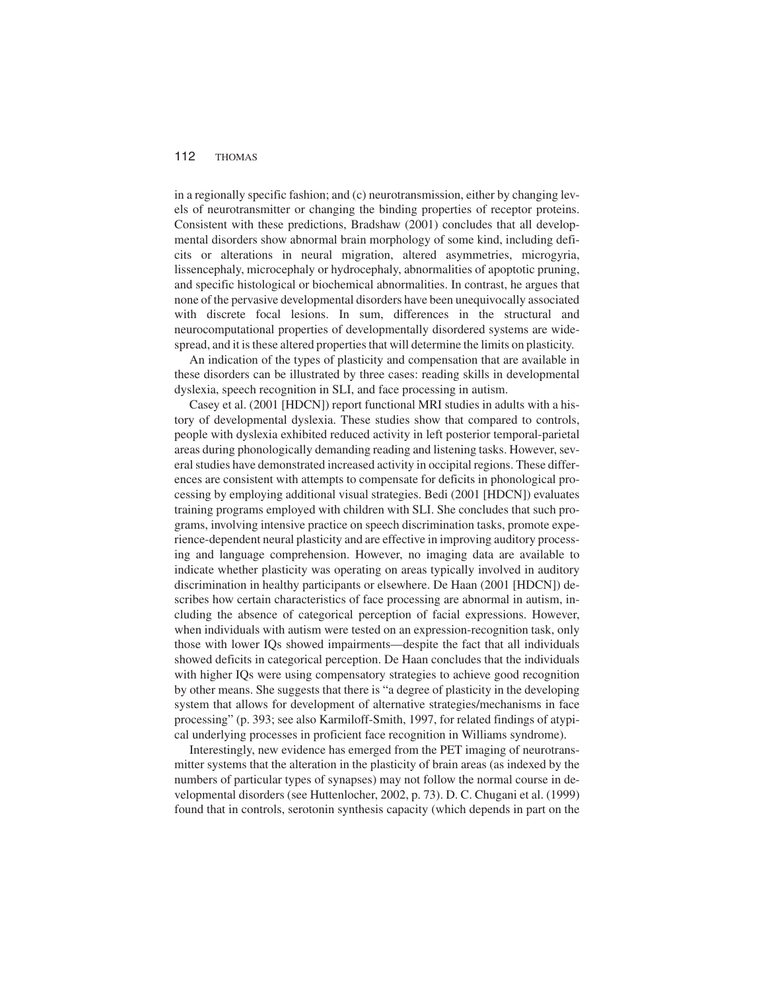in a regionally specific fashion; and (c) neurotransmission, either by changing levels of neurotransmitter or changing the binding properties of receptor proteins. Consistent with these predictions, Bradshaw (2001) concludes that all developmental disorders show abnormal brain morphology of some kind, including deficits or alterations in neural migration, altered asymmetries, microgyria, lissencephaly, microcephaly or hydrocephaly, abnormalities of apoptotic pruning, and specific histological or biochemical abnormalities. In contrast, he argues that none of the pervasive developmental disorders have been unequivocally associated with discrete focal lesions. In sum, differences in the structural and neurocomputational properties of developmentally disordered systems are widespread, and it is these altered properties that will determine the limits on plasticity.

An indication of the types of plasticity and compensation that are available in these disorders can be illustrated by three cases: reading skills in developmental dyslexia, speech recognition in SLI, and face processing in autism.

Casey et al. (2001 [HDCN]) report functional MRI studies in adults with a history of developmental dyslexia. These studies show that compared to controls, people with dyslexia exhibited reduced activity in left posterior temporal-parietal areas during phonologically demanding reading and listening tasks. However, several studies have demonstrated increased activity in occipital regions. These differences are consistent with attempts to compensate for deficits in phonological processing by employing additional visual strategies. Bedi (2001 [HDCN]) evaluates training programs employed with children with SLI. She concludes that such programs, involving intensive practice on speech discrimination tasks, promote experience-dependent neural plasticity and are effective in improving auditory processing and language comprehension. However, no imaging data are available to indicate whether plasticity was operating on areas typically involved in auditory discrimination in healthy participants or elsewhere. De Haan (2001 [HDCN]) describes how certain characteristics of face processing are abnormal in autism, including the absence of categorical perception of facial expressions. However, when individuals with autism were tested on an expression-recognition task, only those with lower IQs showed impairments—despite the fact that all individuals showed deficits in categorical perception. De Haan concludes that the individuals with higher IQs were using compensatory strategies to achieve good recognition by other means. She suggests that there is "a degree of plasticity in the developing system that allows for development of alternative strategies/mechanisms in face processing" (p. 393; see also Karmiloff-Smith, 1997, for related findings of atypical underlying processes in proficient face recognition in Williams syndrome).

Interestingly, new evidence has emerged from the PET imaging of neurotransmitter systems that the alteration in the plasticity of brain areas (as indexed by the numbers of particular types of synapses) may not follow the normal course in developmental disorders (see Huttenlocher, 2002, p. 73). D. C. Chugani et al. (1999) found that in controls, serotonin synthesis capacity (which depends in part on the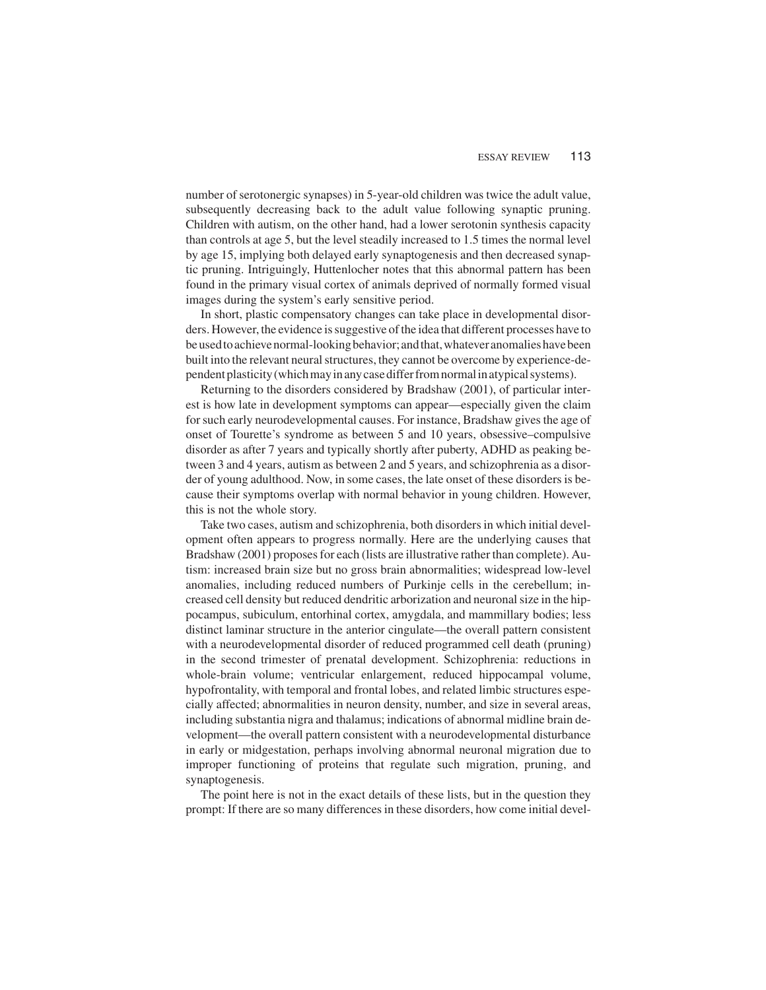number of serotonergic synapses) in 5-year-old children was twice the adult value, subsequently decreasing back to the adult value following synaptic pruning. Children with autism, on the other hand, had a lower serotonin synthesis capacity than controls at age 5, but the level steadily increased to 1.5 times the normal level by age 15, implying both delayed early synaptogenesis and then decreased synaptic pruning. Intriguingly, Huttenlocher notes that this abnormal pattern has been found in the primary visual cortex of animals deprived of normally formed visual images during the system's early sensitive period.

In short, plastic compensatory changes can take place in developmental disorders. However, the evidence is suggestive of the idea that different processes have to be used to achieve normal-looking behavior; and that, whatever anomalies have been built into the relevant neural structures, they cannot be overcome by experience-dependentplasticity(whichmayinanycasedifferfromnormalinatypicalsystems).

Returning to the disorders considered by Bradshaw (2001), of particular interest is how late in development symptoms can appear—especially given the claim for such early neurodevelopmental causes. For instance, Bradshaw gives the age of onset of Tourette's syndrome as between 5 and 10 years, obsessive–compulsive disorder as after 7 years and typically shortly after puberty, ADHD as peaking between 3 and 4 years, autism as between 2 and 5 years, and schizophrenia as a disorder of young adulthood. Now, in some cases, the late onset of these disorders is because their symptoms overlap with normal behavior in young children. However, this is not the whole story.

Take two cases, autism and schizophrenia, both disorders in which initial development often appears to progress normally. Here are the underlying causes that Bradshaw (2001) proposes for each (lists are illustrative rather than complete). Autism: increased brain size but no gross brain abnormalities; widespread low-level anomalies, including reduced numbers of Purkinje cells in the cerebellum; increased cell density but reduced dendritic arborization and neuronal size in the hippocampus, subiculum, entorhinal cortex, amygdala, and mammillary bodies; less distinct laminar structure in the anterior cingulate—the overall pattern consistent with a neurodevelopmental disorder of reduced programmed cell death (pruning) in the second trimester of prenatal development. Schizophrenia: reductions in whole-brain volume; ventricular enlargement, reduced hippocampal volume, hypofrontality, with temporal and frontal lobes, and related limbic structures especially affected; abnormalities in neuron density, number, and size in several areas, including substantia nigra and thalamus; indications of abnormal midline brain development—the overall pattern consistent with a neurodevelopmental disturbance in early or midgestation, perhaps involving abnormal neuronal migration due to improper functioning of proteins that regulate such migration, pruning, and synaptogenesis.

The point here is not in the exact details of these lists, but in the question they prompt: If there are so many differences in these disorders, how come initial devel-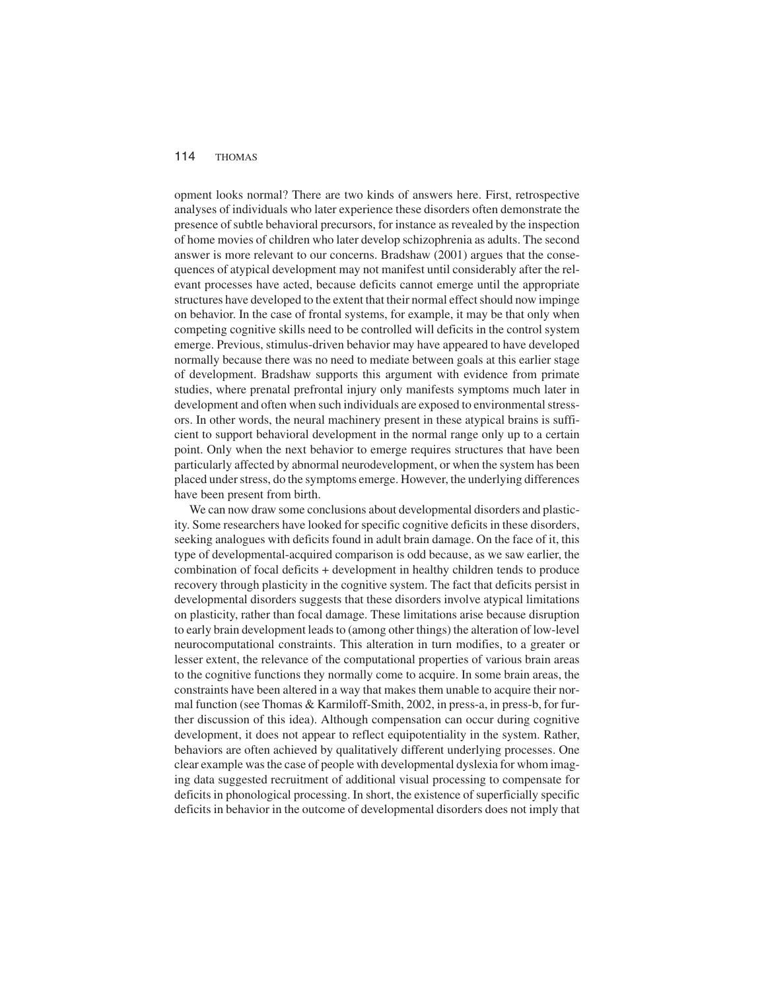opment looks normal? There are two kinds of answers here. First, retrospective analyses of individuals who later experience these disorders often demonstrate the presence of subtle behavioral precursors, for instance as revealed by the inspection of home movies of children who later develop schizophrenia as adults. The second answer is more relevant to our concerns. Bradshaw (2001) argues that the consequences of atypical development may not manifest until considerably after the relevant processes have acted, because deficits cannot emerge until the appropriate structures have developed to the extent that their normal effect should now impinge on behavior. In the case of frontal systems, for example, it may be that only when competing cognitive skills need to be controlled will deficits in the control system emerge. Previous, stimulus-driven behavior may have appeared to have developed normally because there was no need to mediate between goals at this earlier stage of development. Bradshaw supports this argument with evidence from primate studies, where prenatal prefrontal injury only manifests symptoms much later in development and often when such individuals are exposed to environmental stressors. In other words, the neural machinery present in these atypical brains is sufficient to support behavioral development in the normal range only up to a certain point. Only when the next behavior to emerge requires structures that have been particularly affected by abnormal neurodevelopment, or when the system has been placed under stress, do the symptoms emerge. However, the underlying differences have been present from birth.

We can now draw some conclusions about developmental disorders and plasticity. Some researchers have looked for specific cognitive deficits in these disorders, seeking analogues with deficits found in adult brain damage. On the face of it, this type of developmental-acquired comparison is odd because, as we saw earlier, the combination of focal deficits + development in healthy children tends to produce recovery through plasticity in the cognitive system. The fact that deficits persist in developmental disorders suggests that these disorders involve atypical limitations on plasticity, rather than focal damage. These limitations arise because disruption to early brain development leads to (among other things) the alteration of low-level neurocomputational constraints. This alteration in turn modifies, to a greater or lesser extent, the relevance of the computational properties of various brain areas to the cognitive functions they normally come to acquire. In some brain areas, the constraints have been altered in a way that makes them unable to acquire their normal function (see Thomas & Karmiloff-Smith, 2002, in press-a, in press-b, for further discussion of this idea). Although compensation can occur during cognitive development, it does not appear to reflect equipotentiality in the system. Rather, behaviors are often achieved by qualitatively different underlying processes. One clear example was the case of people with developmental dyslexia for whom imaging data suggested recruitment of additional visual processing to compensate for deficits in phonological processing. In short, the existence of superficially specific deficits in behavior in the outcome of developmental disorders does not imply that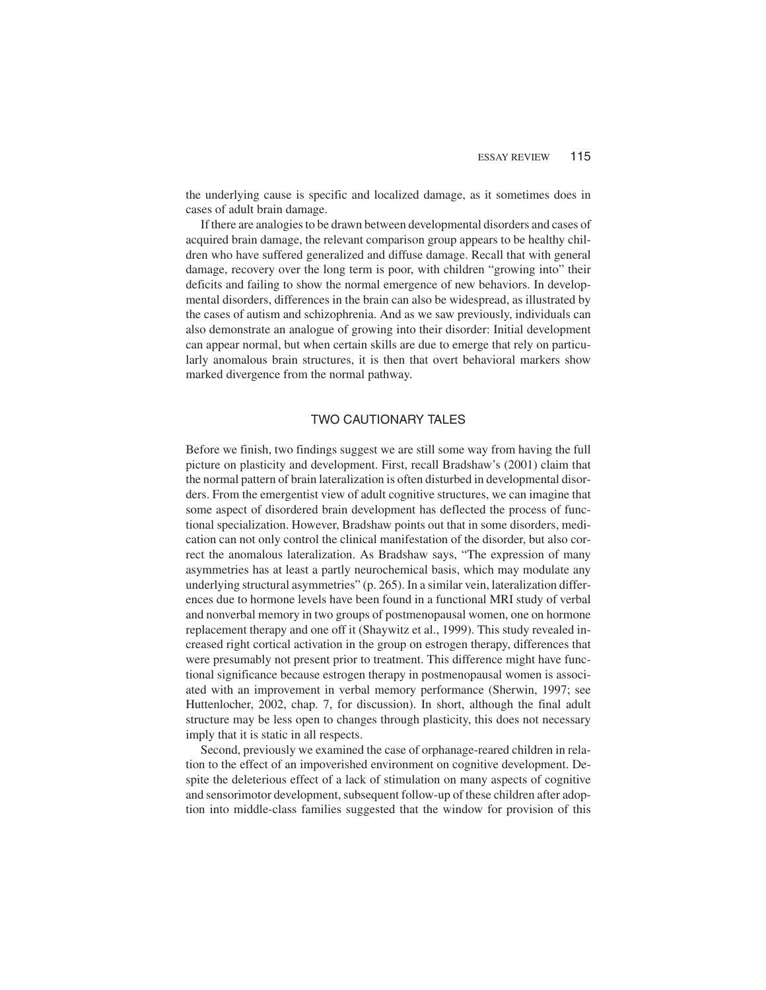the underlying cause is specific and localized damage, as it sometimes does in cases of adult brain damage.

If there are analogies to be drawn between developmental disorders and cases of acquired brain damage, the relevant comparison group appears to be healthy children who have suffered generalized and diffuse damage. Recall that with general damage, recovery over the long term is poor, with children "growing into" their deficits and failing to show the normal emergence of new behaviors. In developmental disorders, differences in the brain can also be widespread, as illustrated by the cases of autism and schizophrenia. And as we saw previously, individuals can also demonstrate an analogue of growing into their disorder: Initial development can appear normal, but when certain skills are due to emerge that rely on particularly anomalous brain structures, it is then that overt behavioral markers show marked divergence from the normal pathway.

# TWO CAUTIONARY TALES

Before we finish, two findings suggest we are still some way from having the full picture on plasticity and development. First, recall Bradshaw's (2001) claim that the normal pattern of brain lateralization is often disturbed in developmental disorders. From the emergentist view of adult cognitive structures, we can imagine that some aspect of disordered brain development has deflected the process of functional specialization. However, Bradshaw points out that in some disorders, medication can not only control the clinical manifestation of the disorder, but also correct the anomalous lateralization. As Bradshaw says, "The expression of many asymmetries has at least a partly neurochemical basis, which may modulate any underlying structural asymmetries" (p. 265). In a similar vein, lateralization differences due to hormone levels have been found in a functional MRI study of verbal and nonverbal memory in two groups of postmenopausal women, one on hormone replacement therapy and one off it (Shaywitz et al., 1999). This study revealed increased right cortical activation in the group on estrogen therapy, differences that were presumably not present prior to treatment. This difference might have functional significance because estrogen therapy in postmenopausal women is associated with an improvement in verbal memory performance (Sherwin, 1997; see Huttenlocher, 2002, chap. 7, for discussion). In short, although the final adult structure may be less open to changes through plasticity, this does not necessary imply that it is static in all respects.

Second, previously we examined the case of orphanage-reared children in relation to the effect of an impoverished environment on cognitive development. Despite the deleterious effect of a lack of stimulation on many aspects of cognitive and sensorimotor development, subsequent follow-up of these children after adoption into middle-class families suggested that the window for provision of this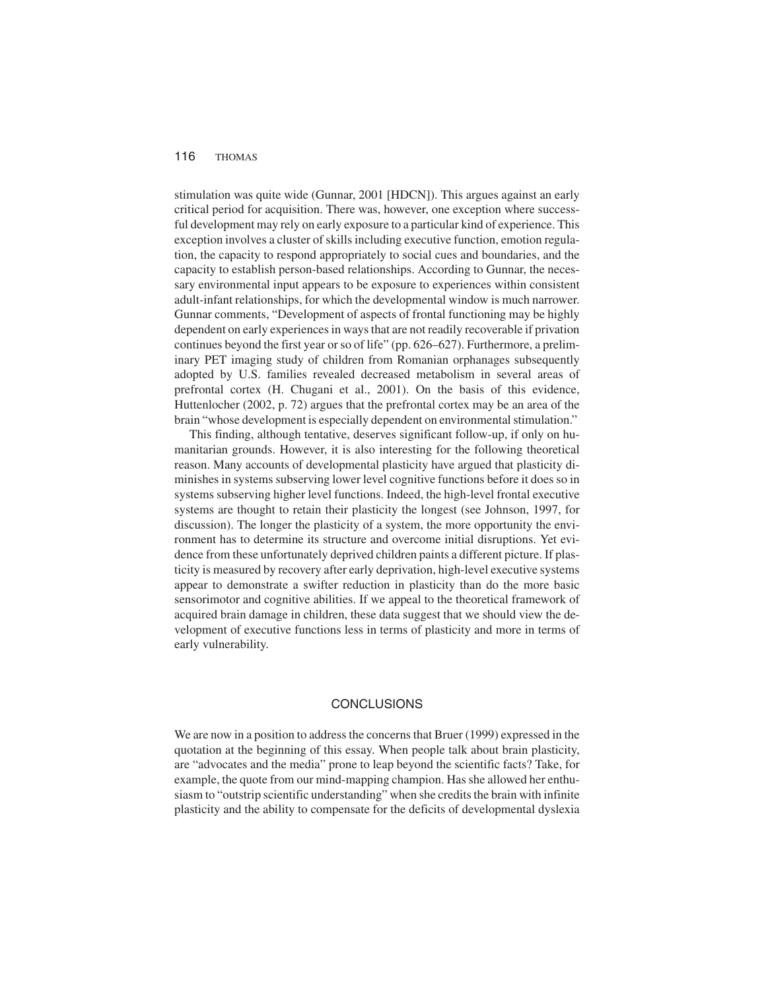stimulation was quite wide (Gunnar, 2001 [HDCN]). This argues against an early critical period for acquisition. There was, however, one exception where successful development may rely on early exposure to a particular kind of experience. This exception involves a cluster of skills including executive function, emotion regulation, the capacity to respond appropriately to social cues and boundaries, and the capacity to establish person-based relationships. According to Gunnar, the necessary environmental input appears to be exposure to experiences within consistent adult-infant relationships, for which the developmental window is much narrower. Gunnar comments, "Development of aspects of frontal functioning may be highly dependent on early experiences in ways that are not readily recoverable if privation continues beyond the first year or so of life" (pp. 626–627). Furthermore, a preliminary PET imaging study of children from Romanian orphanages subsequently adopted by U.S. families revealed decreased metabolism in several areas of prefrontal cortex (H. Chugani et al., 2001). On the basis of this evidence, Huttenlocher (2002, p. 72) argues that the prefrontal cortex may be an area of the brain "whose development is especially dependent on environmental stimulation."

This finding, although tentative, deserves significant follow-up, if only on humanitarian grounds. However, it is also interesting for the following theoretical reason. Many accounts of developmental plasticity have argued that plasticity diminishes in systems subserving lower level cognitive functions before it does so in systems subserving higher level functions. Indeed, the high-level frontal executive systems are thought to retain their plasticity the longest (see Johnson, 1997, for discussion). The longer the plasticity of a system, the more opportunity the environment has to determine its structure and overcome initial disruptions. Yet evidence from these unfortunately deprived children paints a different picture. If plasticity is measured by recovery after early deprivation, high-level executive systems appear to demonstrate a swifter reduction in plasticity than do the more basic sensorimotor and cognitive abilities. If we appeal to the theoretical framework of acquired brain damage in children, these data suggest that we should view the development of executive functions less in terms of plasticity and more in terms of early vulnerability.

#### **CONCLUSIONS**

We are now in a position to address the concerns that Bruer (1999) expressed in the quotation at the beginning of this essay. When people talk about brain plasticity, are "advocates and the media" prone to leap beyond the scientific facts? Take, for example, the quote from our mind-mapping champion. Has she allowed her enthusiasm to "outstrip scientific understanding" when she credits the brain with infinite plasticity and the ability to compensate for the deficits of developmental dyslexia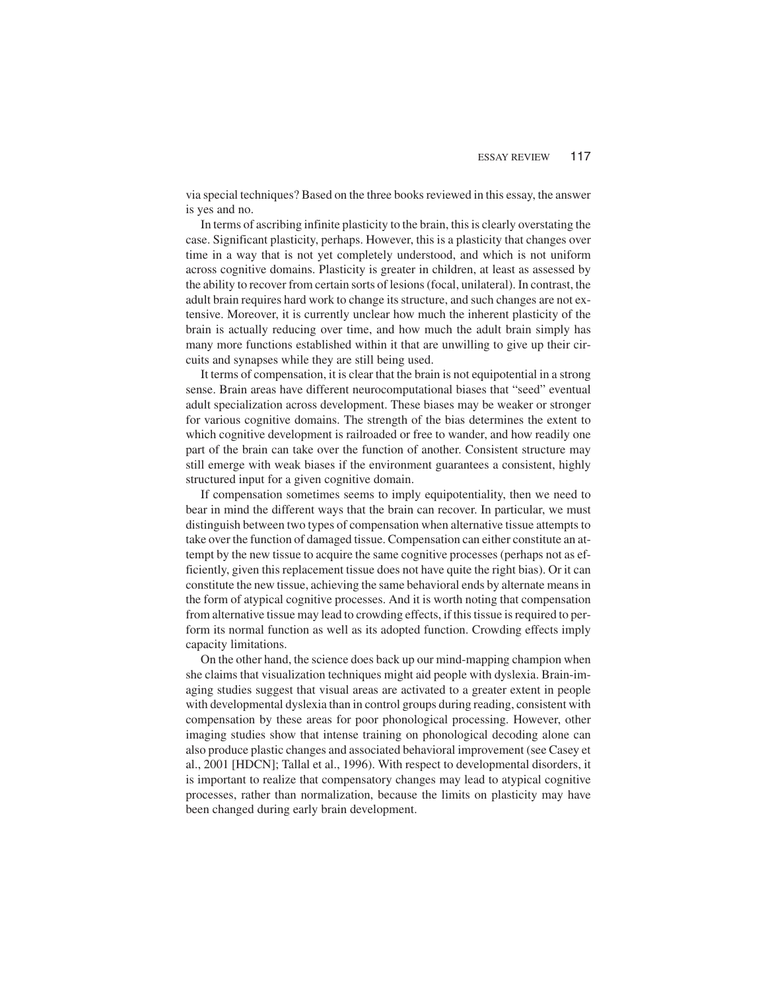via special techniques? Based on the three books reviewed in this essay, the answer is yes and no.

In terms of ascribing infinite plasticity to the brain, this is clearly overstating the case. Significant plasticity, perhaps. However, this is a plasticity that changes over time in a way that is not yet completely understood, and which is not uniform across cognitive domains. Plasticity is greater in children, at least as assessed by the ability to recover from certain sorts of lesions (focal, unilateral). In contrast, the adult brain requires hard work to change its structure, and such changes are not extensive. Moreover, it is currently unclear how much the inherent plasticity of the brain is actually reducing over time, and how much the adult brain simply has many more functions established within it that are unwilling to give up their circuits and synapses while they are still being used.

It terms of compensation, it is clear that the brain is not equipotential in a strong sense. Brain areas have different neurocomputational biases that "seed" eventual adult specialization across development. These biases may be weaker or stronger for various cognitive domains. The strength of the bias determines the extent to which cognitive development is railroaded or free to wander, and how readily one part of the brain can take over the function of another. Consistent structure may still emerge with weak biases if the environment guarantees a consistent, highly structured input for a given cognitive domain.

If compensation sometimes seems to imply equipotentiality, then we need to bear in mind the different ways that the brain can recover. In particular, we must distinguish between two types of compensation when alternative tissue attempts to take over the function of damaged tissue. Compensation can either constitute an attempt by the new tissue to acquire the same cognitive processes (perhaps not as efficiently, given this replacement tissue does not have quite the right bias). Or it can constitute the new tissue, achieving the same behavioral ends by alternate means in the form of atypical cognitive processes. And it is worth noting that compensation from alternative tissue may lead to crowding effects, if this tissue is required to perform its normal function as well as its adopted function. Crowding effects imply capacity limitations.

On the other hand, the science does back up our mind-mapping champion when she claims that visualization techniques might aid people with dyslexia. Brain-imaging studies suggest that visual areas are activated to a greater extent in people with developmental dyslexia than in control groups during reading, consistent with compensation by these areas for poor phonological processing. However, other imaging studies show that intense training on phonological decoding alone can also produce plastic changes and associated behavioral improvement (see Casey et al., 2001 [HDCN]; Tallal et al., 1996). With respect to developmental disorders, it is important to realize that compensatory changes may lead to atypical cognitive processes, rather than normalization, because the limits on plasticity may have been changed during early brain development.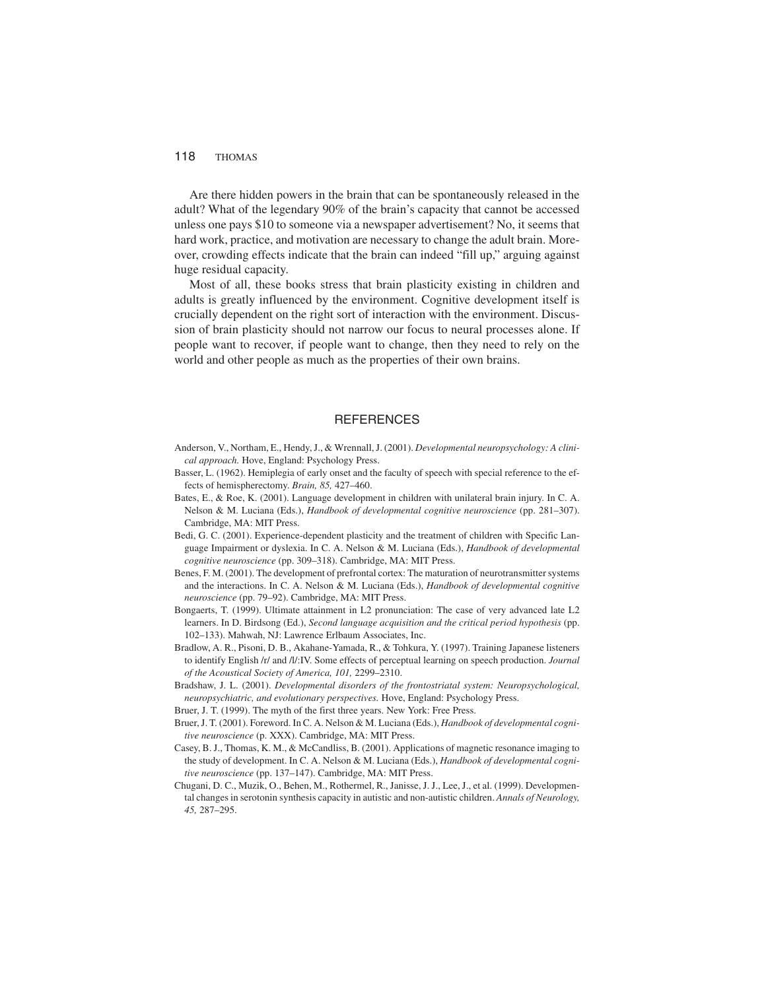Are there hidden powers in the brain that can be spontaneously released in the adult? What of the legendary 90% of the brain's capacity that cannot be accessed unless one pays \$10 to someone via a newspaper advertisement? No, it seems that hard work, practice, and motivation are necessary to change the adult brain. Moreover, crowding effects indicate that the brain can indeed "fill up," arguing against huge residual capacity.

Most of all, these books stress that brain plasticity existing in children and adults is greatly influenced by the environment. Cognitive development itself is crucially dependent on the right sort of interaction with the environment. Discussion of brain plasticity should not narrow our focus to neural processes alone. If people want to recover, if people want to change, then they need to rely on the world and other people as much as the properties of their own brains.

# **REFERENCES**

- Anderson, V., Northam, E., Hendy, J., & Wrennall, J. (2001). *Developmental neuropsychology: A clinical approach.* Hove, England: Psychology Press.
- Basser, L. (1962). Hemiplegia of early onset and the faculty of speech with special reference to the effects of hemispherectomy. *Brain, 85,* 427–460.
- Bates, E., & Roe, K. (2001). Language development in children with unilateral brain injury. In C. A. Nelson & M. Luciana (Eds.), *Handbook of developmental cognitive neuroscience* (pp. 281–307). Cambridge, MA: MIT Press.
- Bedi, G. C. (2001). Experience-dependent plasticity and the treatment of children with Specific Language Impairment or dyslexia. In C. A. Nelson & M. Luciana (Eds.), *Handbook of developmental cognitive neuroscience* (pp. 309–318). Cambridge, MA: MIT Press.
- Benes, F. M. (2001). The development of prefrontal cortex: The maturation of neurotransmitter systems and the interactions. In C. A. Nelson & M. Luciana (Eds.), *Handbook of developmental cognitive neuroscience* (pp. 79–92). Cambridge, MA: MIT Press.
- Bongaerts, T. (1999). Ultimate attainment in L2 pronunciation: The case of very advanced late L2 learners. In D. Birdsong (Ed.), *Second language acquisition and the critical period hypothesis* (pp. 102–133). Mahwah, NJ: Lawrence Erlbaum Associates, Inc.
- Bradlow, A. R., Pisoni, D. B., Akahane-Yamada, R., & Tohkura, Y. (1997). Training Japanese listeners to identify English /r/ and /l/:IV. Some effects of perceptual learning on speech production. *Journal of the Acoustical Society of America, 101,* 2299–2310.
- Bradshaw, J. L. (2001). *Developmental disorders of the frontostriatal system: Neuropsychological, neuropsychiatric, and evolutionary perspectives.* Hove, England: Psychology Press.
- Bruer, J. T. (1999). The myth of the first three years. New York: Free Press.
- Bruer, J. T. (2001). Foreword. In C. A. Nelson & M. Luciana (Eds.), *Handbook of developmental cognitive neuroscience* (p. XXX). Cambridge, MA: MIT Press.
- Casey, B. J., Thomas, K. M., & McCandliss, B. (2001). Applications of magnetic resonance imaging to the study of development. In C. A. Nelson & M. Luciana (Eds.), *Handbook of developmental cognitive neuroscience* (pp. 137–147). Cambridge, MA: MIT Press.
- Chugani, D. C., Muzik, O., Behen, M., Rothermel, R., Janisse, J. J., Lee, J., et al. (1999). Developmental changes in serotonin synthesis capacity in autistic and non-autistic children. *Annals of Neurology, 45,* 287–295.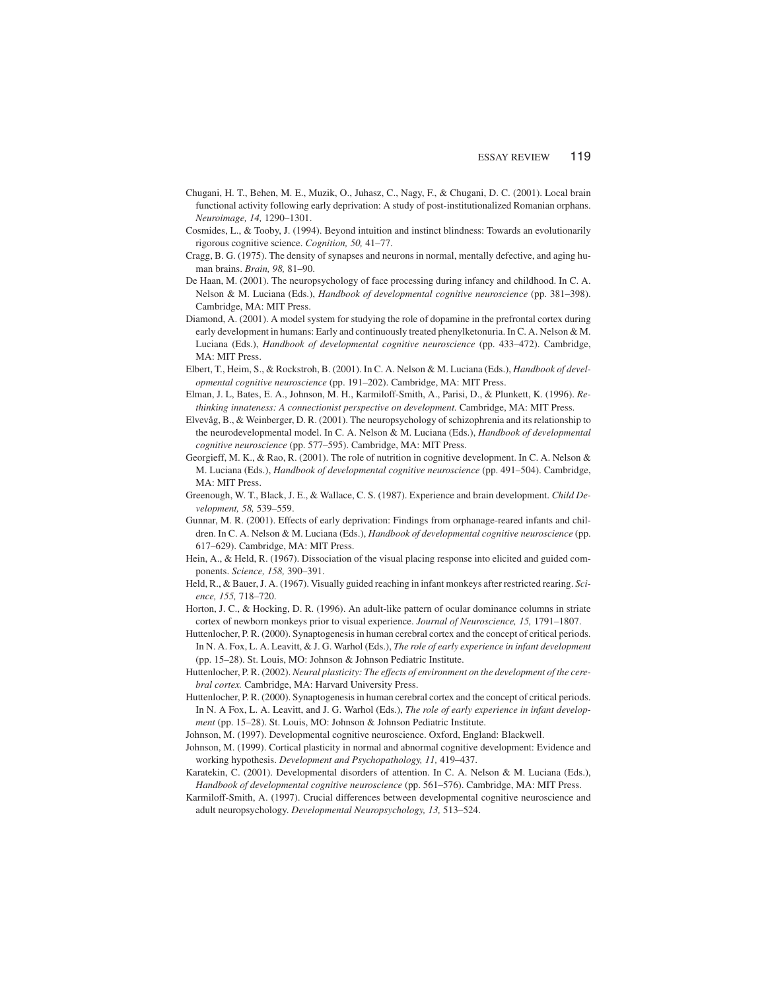- Chugani, H. T., Behen, M. E., Muzik, O., Juhasz, C., Nagy, F., & Chugani, D. C. (2001). Local brain functional activity following early deprivation: A study of post-institutionalized Romanian orphans. *Neuroimage, 14,* 1290–1301.
- Cosmides, L., & Tooby, J. (1994). Beyond intuition and instinct blindness: Towards an evolutionarily rigorous cognitive science. *Cognition, 50,* 41–77.
- Cragg, B. G. (1975). The density of synapses and neurons in normal, mentally defective, and aging human brains. *Brain, 98,* 81–90.
- De Haan, M. (2001). The neuropsychology of face processing during infancy and childhood. In C. A. Nelson & M. Luciana (Eds.), *Handbook of developmental cognitive neuroscience* (pp. 381–398). Cambridge, MA: MIT Press.
- Diamond, A. (2001). A model system for studying the role of dopamine in the prefrontal cortex during early development in humans: Early and continuously treated phenylketonuria. In C. A. Nelson & M. Luciana (Eds.), *Handbook of developmental cognitive neuroscience* (pp. 433–472). Cambridge, MA: MIT Press.
- Elbert, T., Heim, S., & Rockstroh, B. (2001). In C. A. Nelson & M. Luciana (Eds.), *Handbook of developmental cognitive neuroscience* (pp. 191–202). Cambridge, MA: MIT Press.
- Elman, J. L, Bates, E. A., Johnson, M. H., Karmiloff-Smith, A., Parisi, D., & Plunkett, K. (1996). *Rethinking innateness: A connectionist perspective on development.* Cambridge, MA: MIT Press.
- Elvevåg, B., & Weinberger, D. R. (2001). The neuropsychology of schizophrenia and its relationship to the neurodevelopmental model. In C. A. Nelson & M. Luciana (Eds.), *Handbook of developmental cognitive neuroscience* (pp. 577–595). Cambridge, MA: MIT Press.
- Georgieff, M. K., & Rao, R. (2001). The role of nutrition in cognitive development. In C. A. Nelson & M. Luciana (Eds.), *Handbook of developmental cognitive neuroscience* (pp. 491–504). Cambridge, MA: MIT Press.
- Greenough, W. T., Black, J. E., & Wallace, C. S. (1987). Experience and brain development. *Child Development, 58,* 539–559.
- Gunnar, M. R. (2001). Effects of early deprivation: Findings from orphanage-reared infants and children. In C. A. Nelson & M. Luciana (Eds.), *Handbook of developmental cognitive neuroscience* (pp. 617–629). Cambridge, MA: MIT Press.
- Hein, A., & Held, R. (1967). Dissociation of the visual placing response into elicited and guided components. *Science, 158,* 390–391.
- Held, R., & Bauer, J. A. (1967). Visually guided reaching in infant monkeys after restricted rearing. *Science, 155,* 718–720.
- Horton, J. C., & Hocking, D. R. (1996). An adult-like pattern of ocular dominance columns in striate cortex of newborn monkeys prior to visual experience. *Journal of Neuroscience, 15,* 1791–1807.
- Huttenlocher, P. R. (2000). Synaptogenesis in human cerebral cortex and the concept of critical periods. In N. A. Fox, L. A. Leavitt, & J. G. Warhol (Eds.), *The role of early experience in infant development* (pp. 15–28). St. Louis, MO: Johnson & Johnson Pediatric Institute.
- Huttenlocher, P. R. (2002). *Neural plasticity: The effects of environment on the development of the cerebral cortex.* Cambridge, MA: Harvard University Press.
- Huttenlocher, P. R. (2000). Synaptogenesis in human cerebral cortex and the concept of critical periods. In N. A Fox, L. A. Leavitt, and J. G. Warhol (Eds.), *The role of early experience in infant development* (pp. 15–28). St. Louis, MO: Johnson & Johnson Pediatric Institute.
- Johnson, M. (1997). Developmental cognitive neuroscience. Oxford, England: Blackwell.
- Johnson, M. (1999). Cortical plasticity in normal and abnormal cognitive development: Evidence and working hypothesis. *Development and Psychopathology, 11,* 419–437.
- Karatekin, C. (2001). Developmental disorders of attention. In C. A. Nelson & M. Luciana (Eds.), *Handbook of developmental cognitive neuroscience* (pp. 561–576). Cambridge, MA: MIT Press.
- Karmiloff-Smith, A. (1997). Crucial differences between developmental cognitive neuroscience and adult neuropsychology. *Developmental Neuropsychology, 13,* 513–524.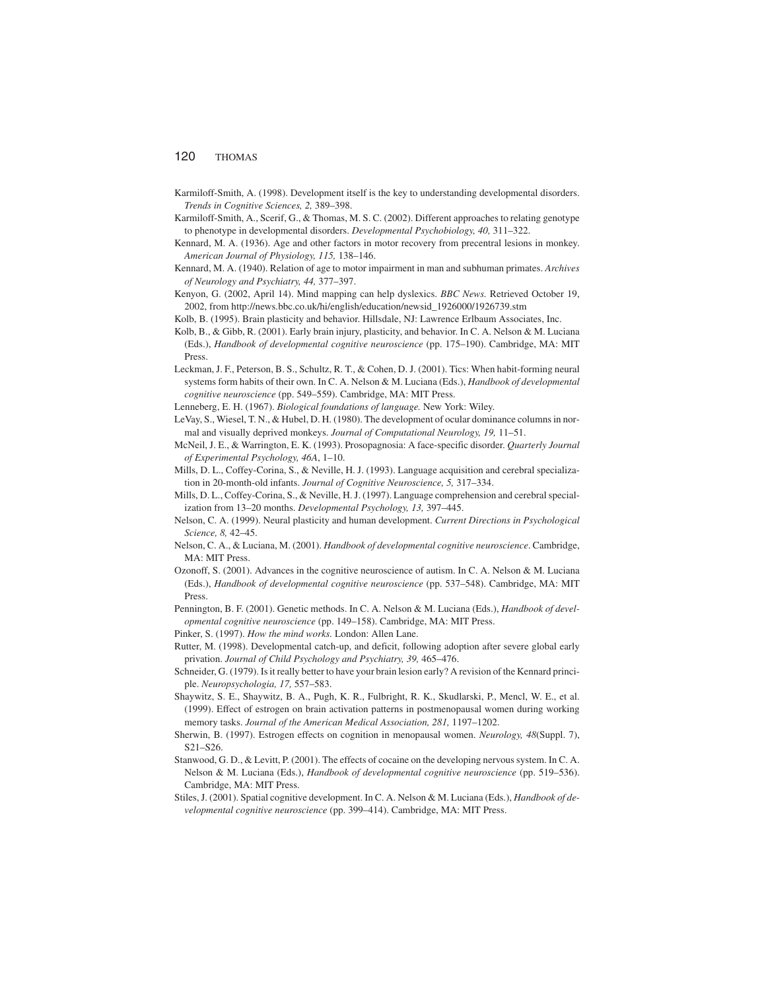- Karmiloff-Smith, A. (1998). Development itself is the key to understanding developmental disorders. *Trends in Cognitive Sciences, 2,* 389–398.
- Karmiloff-Smith, A., Scerif, G., & Thomas, M. S. C. (2002). Different approaches to relating genotype to phenotype in developmental disorders. *Developmental Psychobiology, 40,* 311–322.
- Kennard, M. A. (1936). Age and other factors in motor recovery from precentral lesions in monkey. *American Journal of Physiology, 115,* 138–146.
- Kennard, M. A. (1940). Relation of age to motor impairment in man and subhuman primates. *Archives of Neurology and Psychiatry, 44,* 377–397.
- Kenyon, G. (2002, April 14). Mind mapping can help dyslexics. *BBC News.* Retrieved October 19, 2002, from http://news.bbc.co.uk/hi/english/education/newsid\_1926000/1926739.stm
- Kolb, B. (1995). Brain plasticity and behavior. Hillsdale, NJ: Lawrence Erlbaum Associates, Inc.
- Kolb, B., & Gibb, R. (2001). Early brain injury, plasticity, and behavior. In C. A. Nelson & M. Luciana (Eds.), *Handbook of developmental cognitive neuroscience* (pp. 175–190). Cambridge, MA: MIT Press.
- Leckman, J. F., Peterson, B. S., Schultz, R. T., & Cohen, D. J. (2001). Tics: When habit-forming neural systems form habits of their own. In C. A. Nelson & M. Luciana (Eds.), *Handbook of developmental cognitive neuroscience* (pp. 549–559). Cambridge, MA: MIT Press.
- Lenneberg, E. H. (1967). *Biological foundations of language.* New York: Wiley.
- LeVay, S., Wiesel, T. N., & Hubel, D. H. (1980). The development of ocular dominance columns in normal and visually deprived monkeys. *Journal of Computational Neurology, 19,* 11–51.
- McNeil, J. E., & Warrington, E. K. (1993). Prosopagnosia: A face-specific disorder. *Quarterly Journal of Experimental Psychology, 46A*, 1–10.
- Mills, D. L., Coffey-Corina, S., & Neville, H. J. (1993). Language acquisition and cerebral specialization in 20-month-old infants. *Journal of Cognitive Neuroscience, 5,* 317–334.
- Mills, D. L., Coffey-Corina, S., & Neville, H. J. (1997). Language comprehension and cerebral specialization from 13–20 months. *Developmental Psychology, 13,* 397–445.
- Nelson, C. A. (1999). Neural plasticity and human development. *Current Directions in Psychological Science, 8,* 42–45.
- Nelson, C. A., & Luciana, M. (2001). *Handbook of developmental cognitive neuroscience*. Cambridge, MA: MIT Press.
- Ozonoff, S. (2001). Advances in the cognitive neuroscience of autism. In C. A. Nelson & M. Luciana (Eds.), *Handbook of developmental cognitive neuroscience* (pp. 537–548). Cambridge, MA: MIT Press.
- Pennington, B. F. (2001). Genetic methods. In C. A. Nelson & M. Luciana (Eds.), *Handbook of developmental cognitive neuroscience* (pp. 149–158). Cambridge, MA: MIT Press.
- Pinker, S. (1997). *How the mind works.* London: Allen Lane.
- Rutter, M. (1998). Developmental catch-up, and deficit, following adoption after severe global early privation. *Journal of Child Psychology and Psychiatry, 39,* 465–476.
- Schneider, G. (1979). Is it really better to have your brain lesion early? A revision of the Kennard principle. *Neuropsychologia, 17,* 557–583.
- Shaywitz, S. E., Shaywitz, B. A., Pugh, K. R., Fulbright, R. K., Skudlarski, P., Mencl, W. E., et al. (1999). Effect of estrogen on brain activation patterns in postmenopausal women during working memory tasks. *Journal of the American Medical Association, 281,* 1197–1202.
- Sherwin, B. (1997). Estrogen effects on cognition in menopausal women. *Neurology, 48*(Suppl. 7), S21–S26.
- Stanwood, G. D., & Levitt, P. (2001). The effects of cocaine on the developing nervous system. In C. A. Nelson & M. Luciana (Eds.), *Handbook of developmental cognitive neuroscience* (pp. 519–536). Cambridge, MA: MIT Press.
- Stiles, J. (2001). Spatial cognitive development. In C. A. Nelson & M. Luciana (Eds.), *Handbook of developmental cognitive neuroscience* (pp. 399–414). Cambridge, MA: MIT Press.